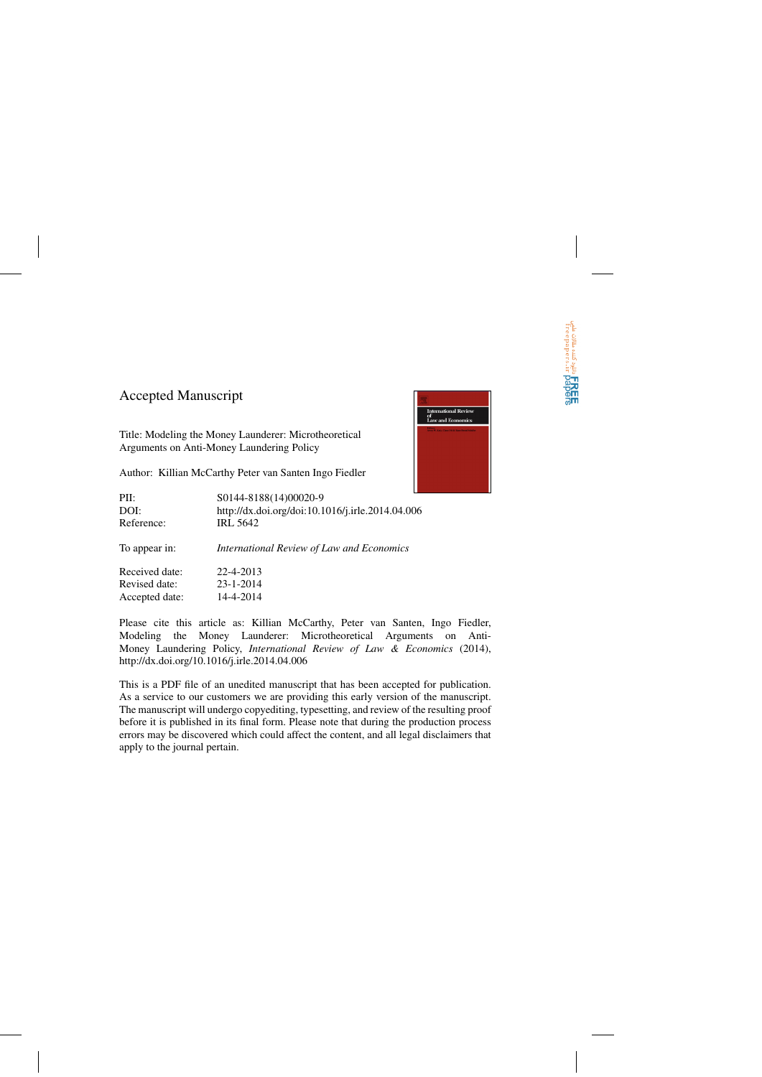# Accepted Manuscript



Title: Modeling the Money Launderer: Microtheoretical Arguments on Anti-Money Laundering Policy

Author: Killian McCarthy Peter van Santen Ingo Fiedler

| PII:           | S0144-8188(14)00020-9                            |
|----------------|--------------------------------------------------|
| DOI:           | http://dx.doi.org/doi:10.1016/j.irle.2014.04.006 |
| Reference:     | <b>IRL 5642</b>                                  |
| To appear in:  | International Review of Law and Economics        |
| Received date: | 22-4-2013                                        |
| Revised date:  | $23 - 1 - 2014$                                  |
| Accepted date: | 14-4-2014                                        |

Please cite this article as: Killian McCarthy, Peter van Santen, Ingo Fiedler, Modeling the Money Launderer: Microtheoretical Arguments on Anti-Money Laundering Policy, *International Review of Law & Economics* (2014), <http://dx.doi.org/10.1016/j.irle.2014.04.006>

This is a PDF file of an unedited manuscript that has been accepted for publication. As a service to our customers we are providing this early version of the manuscript. The manuscript will undergo copyediting, typesetting, and review of the resulting proof before it is published in its final form. Please note that during the production process errors may be discovered which could affect the content, and all legal disclaimers that apply to the journal pertain.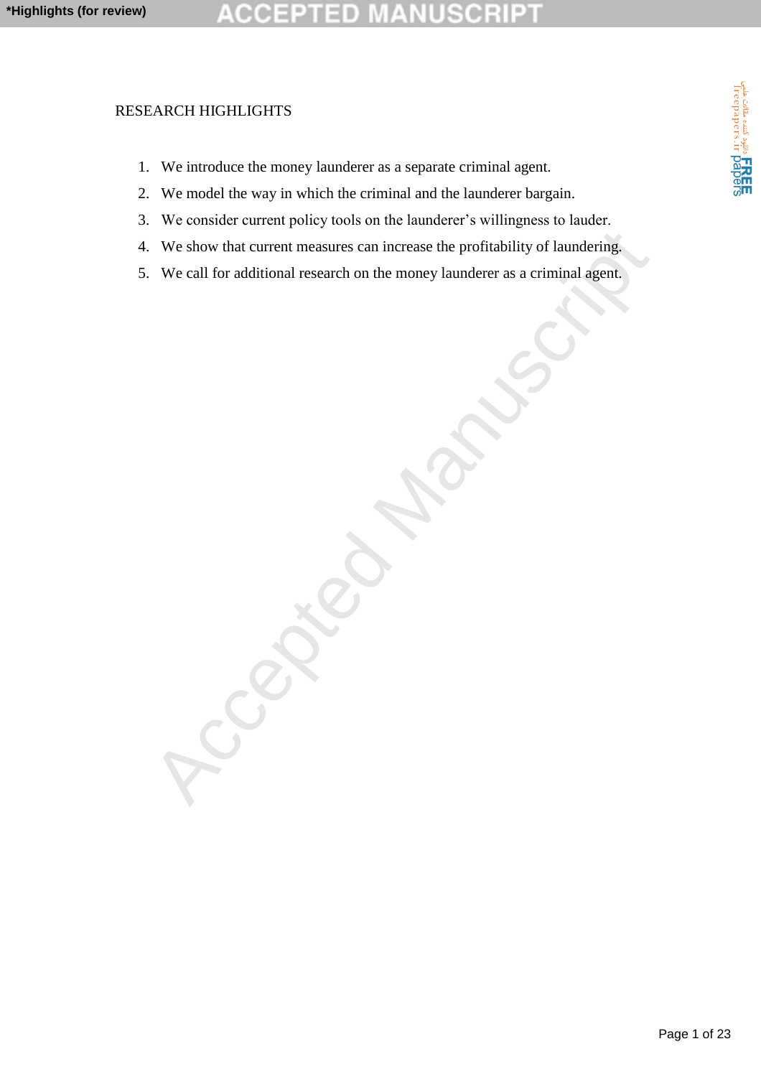#### **CCEPTED \IUSCRI**

# RESEARCH HIGHLIGHTS

- 1. We introduce the money launderer as a separate criminal agent.
- 2. We model the way in which the criminal and the launderer bargain.
- 3. We consider current policy tools on the launderer's willingness to lauder.
- 4. We show that current measures can increase the profitability of laundering.
- 5. We call for additional research on the money launderer as a criminal agent.

Persia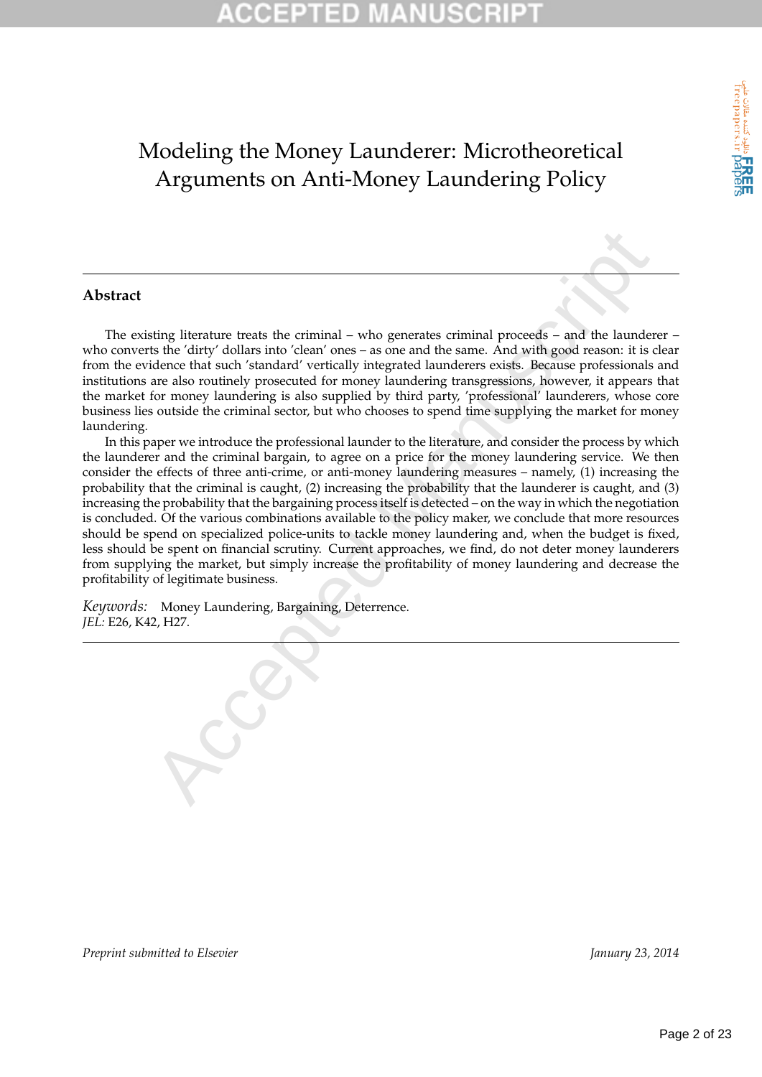# Modeling the Money Launderer: Microtheoretical Arguments on Anti-Money Laundering Policy

### **Abstract**

The existing literature treats the criminal – who generates criminal proceeds – and the launderer – who converts the 'dirty' dollars into 'clean' ones – as one and the same. And with good reason: it is clear from the evidence that such 'standard' vertically integrated launderers exists. Because professionals and institutions are also routinely prosecuted for money laundering transgressions, however, it appears that the market for money laundering is also supplied by third party, 'professional' launderers, whose core business lies outside the criminal sector, but who chooses to spend time supplying the market for money laundering.

sting literature treats the criminal – who generates criminal proceeds – and the launder<br>is the 'dirty' dollars into 'clean' ones – as one and the same. And with good reason: it is calce<br>idence that such 'standard' verteal In this paper we introduce the professional launder to the literature, and consider the process by which the launderer and the criminal bargain, to agree on a price for the money laundering service. We then consider the effects of three anti-crime, or anti-money laundering measures – namely, (1) increasing the probability that the criminal is caught, (2) increasing the probability that the launderer is caught, and (3) increasing the probability that the bargaining process itself is detected – on the way in which the negotiation is concluded. Of the various combinations available to the policy maker, we conclude that more resources should be spend on specialized police-units to tackle money laundering and, when the budget is fixed, less should be spent on financial scrutiny. Current approaches, we find, do not deter money launderers from supplying the market, but simply increase the profitability of money laundering and decrease the profitability of legitimate business.

*Keywords:* Money Laundering, Bargaining, Deterrence. *JEL:* E26, K42, H27.

*Preprint submitted to Elsevier January 23, 2014*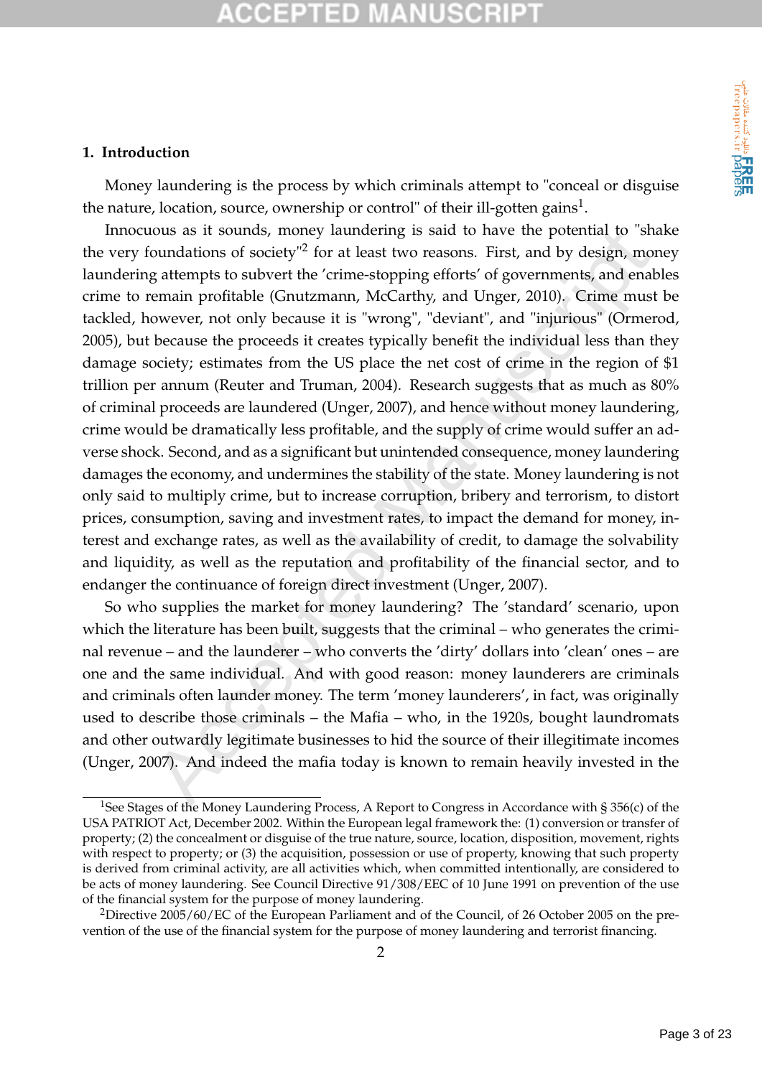#### **1. Introduction**

Money laundering is the process by which criminals attempt to "conceal or disguise the nature, location, source, ownership or control" of their ill-gotten gains $^1$ .

ous as at soundaby more laundering is sand to have the potential to 'show<br>oundations of society'<sup>2</sup> for a least two reasons. First, and by design, more<br>g attempts to subvert the 'crime-stopping efforts' of governments, and Innocuous as it sounds, money laundering is said to have the potential to "shake the very foundations of society"<sup>2</sup> for at least two reasons. First, and by design, money laundering attempts to subvert the 'crime-stopping efforts' of governments, and enables crime to remain profitable (Gnutzmann, McCarthy, and Unger, 2010). Crime must be tackled, however, not only because it is "wrong", "deviant", and "injurious" (Ormerod, 2005), but because the proceeds it creates typically benefit the individual less than they damage society; estimates from the US place the net cost of crime in the region of \$1 trillion per annum (Reuter and Truman, 2004). Research suggests that as much as 80% of criminal proceeds are laundered (Unger, 2007), and hence without money laundering, crime would be dramatically less profitable, and the supply of crime would suffer an adverse shock. Second, and as a significant but unintended consequence, money laundering damages the economy, and undermines the stability of the state. Money laundering is not only said to multiply crime, but to increase corruption, bribery and terrorism, to distort prices, consumption, saving and investment rates, to impact the demand for money, interest and exchange rates, as well as the availability of credit, to damage the solvability and liquidity, as well as the reputation and profitability of the financial sector, and to endanger the continuance of foreign direct investment (Unger, 2007).

So who supplies the market for money laundering? The 'standard' scenario, upon which the literature has been built, suggests that the criminal – who generates the criminal revenue – and the launderer – who converts the 'dirty' dollars into 'clean' ones – are one and the same individual. And with good reason: money launderers are criminals and criminals often launder money. The term 'money launderers', in fact, was originally used to describe those criminals – the Mafia – who, in the 1920s, bought laundromats and other outwardly legitimate businesses to hid the source of their illegitimate incomes (Unger, 2007). And indeed the mafia today is known to remain heavily invested in the

<sup>&</sup>lt;sup>1</sup>See Stages of the Money Laundering Process, A Report to Congress in Accordance with  $\S 356(c)$  of the USA PATRIOT Act, December 2002. Within the European legal framework the: (1) conversion or transfer of property; (2) the concealment or disguise of the true nature, source, location, disposition, movement, rights with respect to property; or (3) the acquisition, possession or use of property, knowing that such property is derived from criminal activity, are all activities which, when committed intentionally, are considered to be acts of money laundering. See Council Directive 91/308/EEC of 10 June 1991 on prevention of the use of the financial system for the purpose of money laundering.

<sup>&</sup>lt;sup>2</sup>Directive 2005/60/EC of the European Parliament and of the Council, of 26 October 2005 on the prevention of the use of the financial system for the purpose of money laundering and terrorist financing.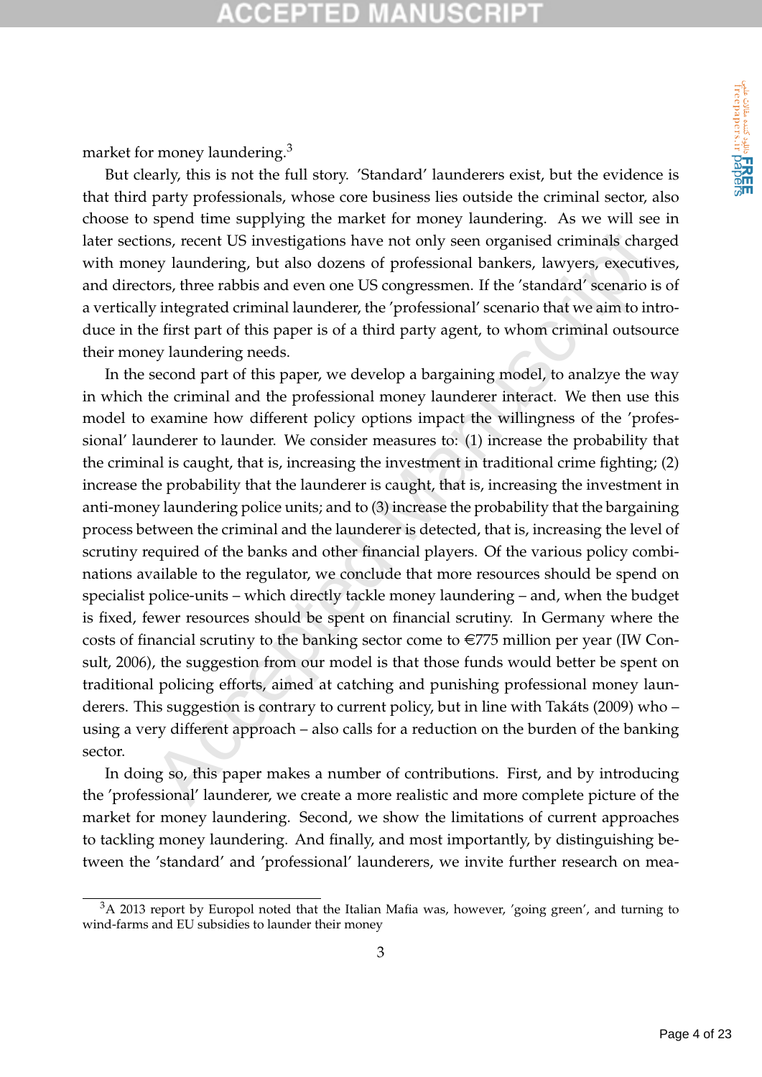market for money laundering.<sup>3</sup>

But clearly, this is not the full story. 'Standard' launderers exist, but the evidence is that third party professionals, whose core business lies outside the criminal sector, also choose to spend time supplying the market for money laundering. As we will see in later sections, recent US investigations have not only seen organised criminals charged with money laundering, but also dozens of professional bankers, lawyers, executives, and directors, three rabbis and even one US congressmen. If the 'standard' scenario is of a vertically integrated criminal launderer, the 'professional' scenario that we aim to introduce in the first part of this paper is of a third party agent, to whom criminal outsource their money laundering needs.

ons, recent US investigations have not only seen organised criminals chargey laundering, but also dozens of professional bankers, lawyers, executity and eventors, three rabbis and even one US congressmen. If the 'standard In the second part of this paper, we develop a bargaining model, to analzye the way in which the criminal and the professional money launderer interact. We then use this model to examine how different policy options impact the willingness of the 'professional' launderer to launder. We consider measures to: (1) increase the probability that the criminal is caught, that is, increasing the investment in traditional crime fighting; (2) increase the probability that the launderer is caught, that is, increasing the investment in anti-money laundering police units; and to (3) increase the probability that the bargaining process between the criminal and the launderer is detected, that is, increasing the level of scrutiny required of the banks and other financial players. Of the various policy combinations available to the regulator, we conclude that more resources should be spend on specialist police-units – which directly tackle money laundering – and, when the budget is fixed, fewer resources should be spent on financial scrutiny. In Germany where the costs of financial scrutiny to the banking sector come to  $\epsilon$ 775 million per year (IW Consult, 2006), the suggestion from our model is that those funds would better be spent on traditional policing efforts, aimed at catching and punishing professional money launderers. This suggestion is contrary to current policy, but in line with Takáts (2009) who – using a very different approach – also calls for a reduction on the burden of the banking sector.

In doing so, this paper makes a number of contributions. First, and by introducing the 'professional' launderer, we create a more realistic and more complete picture of the market for money laundering. Second, we show the limitations of current approaches to tackling money laundering. And finally, and most importantly, by distinguishing between the 'standard' and 'professional' launderers, we invite further research on mea-

 $3A$  2013 report by Europol noted that the Italian Mafia was, however, 'going green', and turning to wind-farms and EU subsidies to launder their money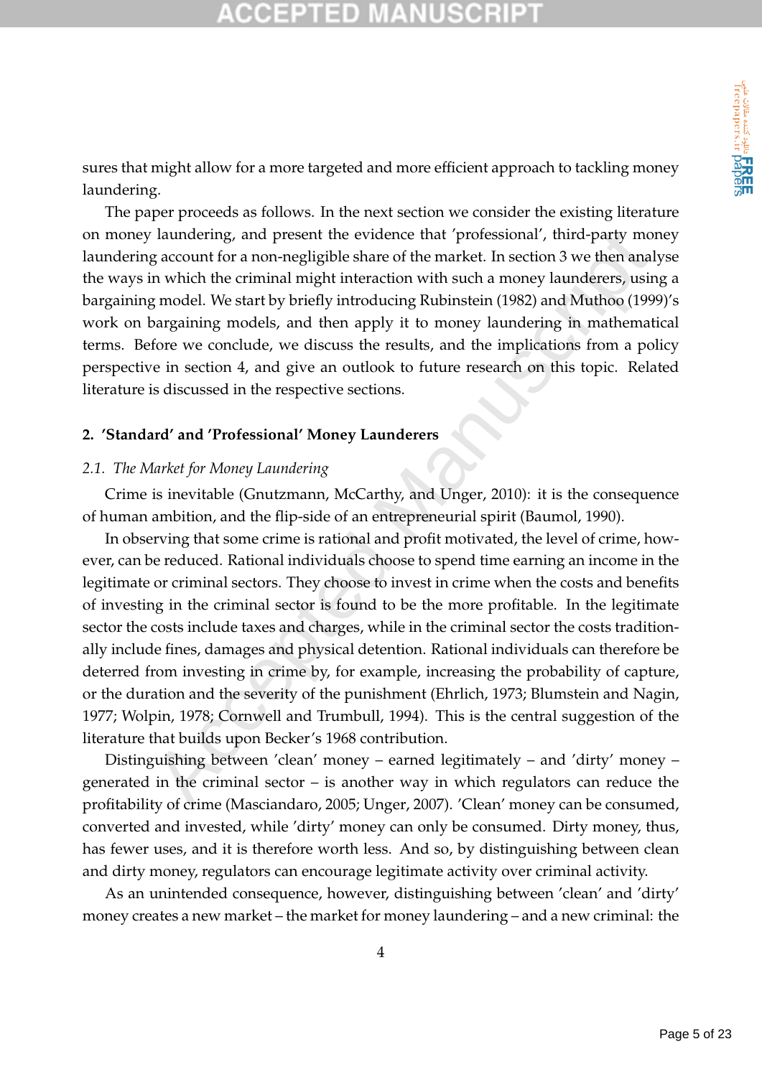sures that might allow for a more targeted and more efficient approach to tackling money laundering.

The paper proceeds as follows. In the next section we consider the existing literature on money laundering, and present the evidence that 'professional', third-party money laundering account for a non-negligible share of the market. In section 3 we then analyse the ways in which the criminal might interaction with such a money launderers, using a bargaining model. We start by briefly introducing Rubinstein (1982) and Muthoo (1999)'s work on bargaining models, and then apply it to money laundering in mathematical terms. Before we conclude, we discuss the results, and the implications from a policy perspective in section 4, and give an outlook to future research on this topic. Related literature is discussed in the respective sections.

## **2. 'Standard' and 'Professional' Money Launderers**

## *2.1. The Market for Money Laundering*

Crime is inevitable (Gnutzmann, McCarthy, and Unger, 2010): it is the consequence of human ambition, and the flip-side of an entrepreneurial spirit (Baumol, 1990).

*r* laundering, and present the evidence that 'professional', third-party mond and product for a non-negligible share of the market. In section 3 we then anal or in which in section is undered and we then and suppose in i In observing that some crime is rational and profit motivated, the level of crime, however, can be reduced. Rational individuals choose to spend time earning an income in the legitimate or criminal sectors. They choose to invest in crime when the costs and benefits of investing in the criminal sector is found to be the more profitable. In the legitimate sector the costs include taxes and charges, while in the criminal sector the costs traditionally include fines, damages and physical detention. Rational individuals can therefore be deterred from investing in crime by, for example, increasing the probability of capture, or the duration and the severity of the punishment (Ehrlich, 1973; Blumstein and Nagin, 1977; Wolpin, 1978; Cornwell and Trumbull, 1994). This is the central suggestion of the literature that builds upon Becker's 1968 contribution.

Distinguishing between 'clean' money – earned legitimately – and 'dirty' money – generated in the criminal sector – is another way in which regulators can reduce the profitability of crime (Masciandaro, 2005; Unger, 2007). 'Clean' money can be consumed, converted and invested, while 'dirty' money can only be consumed. Dirty money, thus, has fewer uses, and it is therefore worth less. And so, by distinguishing between clean and dirty money, regulators can encourage legitimate activity over criminal activity.

As an unintended consequence, however, distinguishing between 'clean' and 'dirty' money creates a new market – the market for money laundering – and a new criminal: the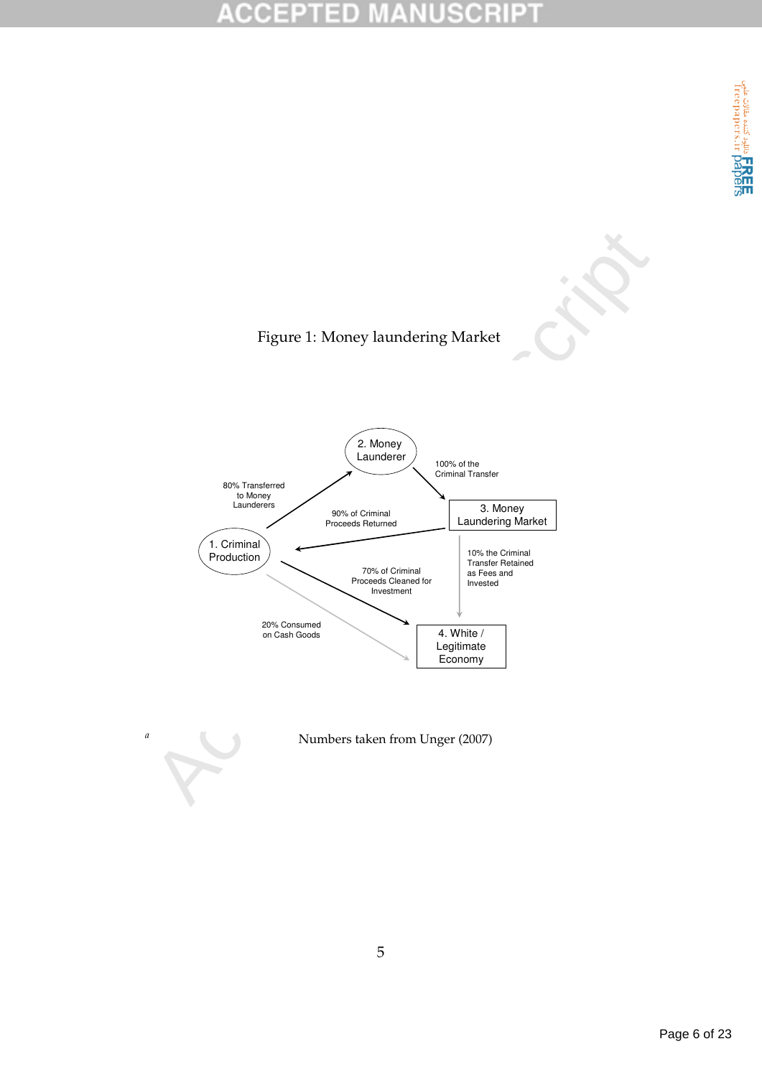#### D E P 0 IO ۰





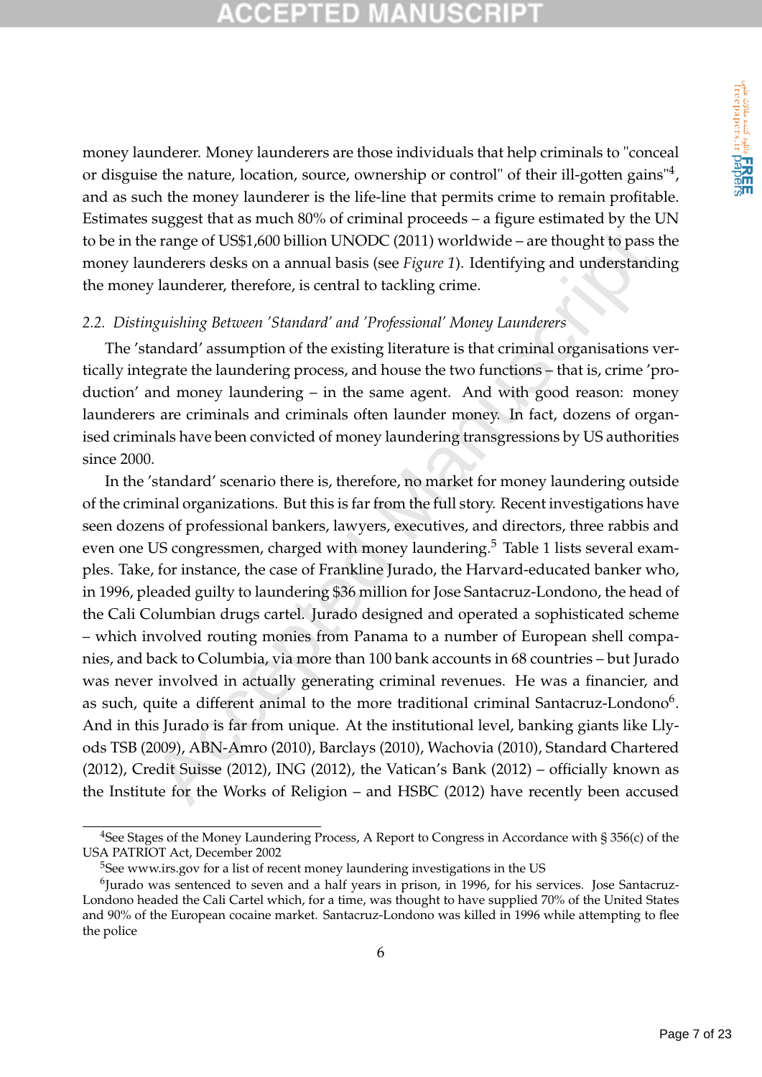money launderer. Money launderers are those individuals that help criminals to "conceal or disguise the nature, location, source, ownership or control" of their ill-gotten gains"<sup>4</sup>, and as such the money launderer is the life-line that permits crime to remain profitable. Estimates suggest that as much 80% of criminal proceeds – a figure estimated by the UN to be in the range of US\$1,600 billion UNODC (2011) worldwide – are thought to pass the money launderers desks on a annual basis (see *Figure 1*). Identifying and understanding the money launderer, therefore, is central to tackling crime.

## *2.2. Distinguishing Between 'Standard' and 'Professional' Money Launderers*

The 'standard' assumption of the existing literature is that criminal organisations vertically integrate the laundering process, and house the two functions – that is, crime 'production' and money laundering – in the same agent. And with good reason: money launderers are criminals and criminals often launder money. In fact, dozens of organised criminals have been convicted of money laundering transgressions by US authorities since 2000.

e range of US\$1,600 billion UNODC (2011) worldwide – are thought to pass<br>noderers desks on a annual basis (see Figure 1). Identifying and understand<br>vlaunderer, therefore, is central to tackling crime.<br>guishing Between 'St In the 'standard' scenario there is, therefore, no market for money laundering outside of the criminal organizations. But this is far from the full story. Recent investigations have seen dozens of professional bankers, lawyers, executives, and directors, three rabbis and even one US congressmen, charged with money laundering.<sup>5</sup> Table 1 lists several examples. Take, for instance, the case of Frankline Jurado, the Harvard-educated banker who, in 1996, pleaded guilty to laundering \$36 million for Jose Santacruz-Londono, the head of the Cali Columbian drugs cartel. Jurado designed and operated a sophisticated scheme – which involved routing monies from Panama to a number of European shell companies, and back to Columbia, via more than 100 bank accounts in 68 countries – but Jurado was never involved in actually generating criminal revenues. He was a financier, and as such, quite a different animal to the more traditional criminal Santacruz-Londono<sup>6</sup>. And in this Jurado is far from unique. At the institutional level, banking giants like Llyods TSB (2009), ABN-Amro (2010), Barclays (2010), Wachovia (2010), Standard Chartered (2012), Credit Suisse (2012), ING (2012), the Vatican's Bank (2012) – officially known as the Institute for the Works of Religion – and HSBC (2012) have recently been accused

<sup>&</sup>lt;sup>4</sup>See Stages of the Money Laundering Process, A Report to Congress in Accordance with § 356(c) of the USA PATRIOT Act, December 2002

<sup>&</sup>lt;sup>5</sup>See www.irs.gov for a list of recent money laundering investigations in the US

<sup>&</sup>lt;sup>6</sup>Jurado was sentenced to seven and a half years in prison, in 1996, for his services. Jose Santacruz-Londono headed the Cali Cartel which, for a time, was thought to have supplied 70% of the United States and 90% of the European cocaine market. Santacruz-Londono was killed in 1996 while attempting to flee the police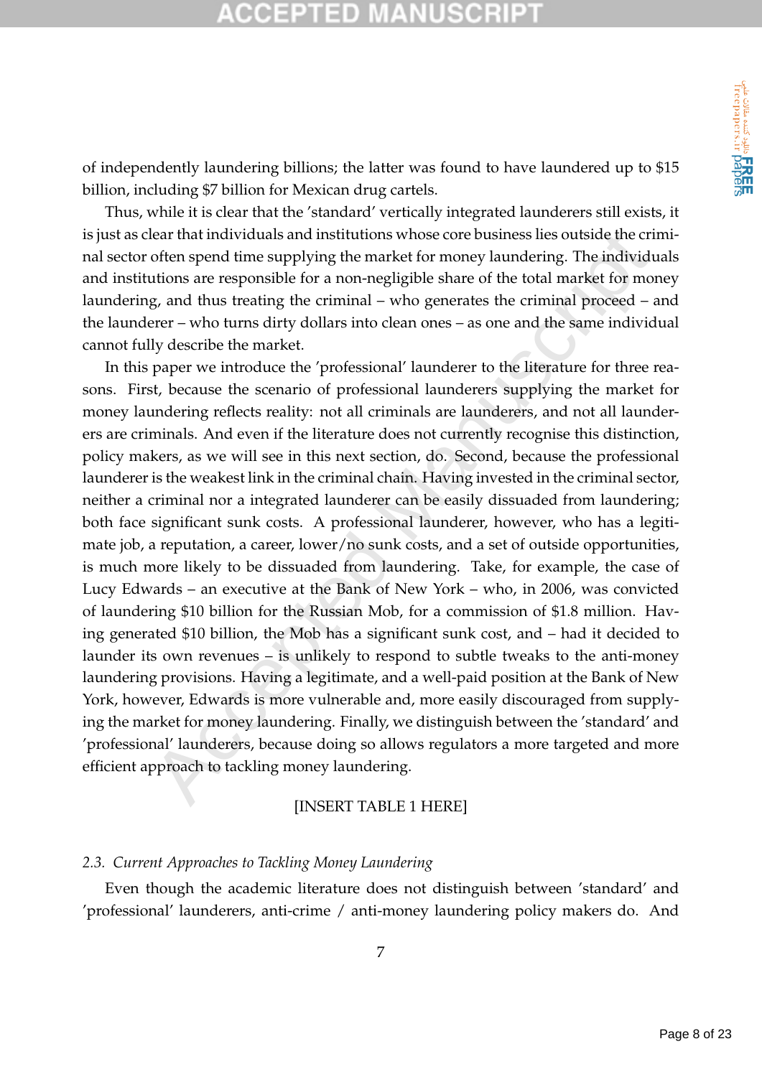# COEPTED

of independently laundering billions; the latter was found to have laundered up to \$15 billion, including \$7 billion for Mexican drug cartels.

Thus, while it is clear that the 'standard' vertically integrated launderers still exists, it is just as clear that individuals and institutions whose core business lies outside the criminal sector often spend time supplying the market for money laundering. The individuals and institutions are responsible for a non-negligible share of the total market for money laundering, and thus treating the criminal – who generates the criminal proceed – and the launderer – who turns dirty dollars into clean ones – as one and the same individual cannot fully describe the market.

lear that individuals and institutions whose core business lies outside the cric<br>often spend time supplying the market for money laundering. The individu<br>of some are seponsible for a non-negligible share of the total marke In this paper we introduce the 'professional' launderer to the literature for three reasons. First, because the scenario of professional launderers supplying the market for money laundering reflects reality: not all criminals are launderers, and not all launderers are criminals. And even if the literature does not currently recognise this distinction, policy makers, as we will see in this next section, do. Second, because the professional launderer is the weakest link in the criminal chain. Having invested in the criminal sector, neither a criminal nor a integrated launderer can be easily dissuaded from laundering; both face significant sunk costs. A professional launderer, however, who has a legitimate job, a reputation, a career, lower/no sunk costs, and a set of outside opportunities, is much more likely to be dissuaded from laundering. Take, for example, the case of Lucy Edwards – an executive at the Bank of New York – who, in 2006, was convicted of laundering \$10 billion for the Russian Mob, for a commission of \$1.8 million. Having generated \$10 billion, the Mob has a significant sunk cost, and – had it decided to launder its own revenues – is unlikely to respond to subtle tweaks to the anti-money laundering provisions. Having a legitimate, and a well-paid position at the Bank of New York, however, Edwards is more vulnerable and, more easily discouraged from supplying the market for money laundering. Finally, we distinguish between the 'standard' and 'professional' launderers, because doing so allows regulators a more targeted and more efficient approach to tackling money laundering.

## [INSERT TABLE 1 HERE]

### *2.3. Current Approaches to Tackling Money Laundering*

Even though the academic literature does not distinguish between 'standard' and 'professional' launderers, anti-crime / anti-money laundering policy makers do. And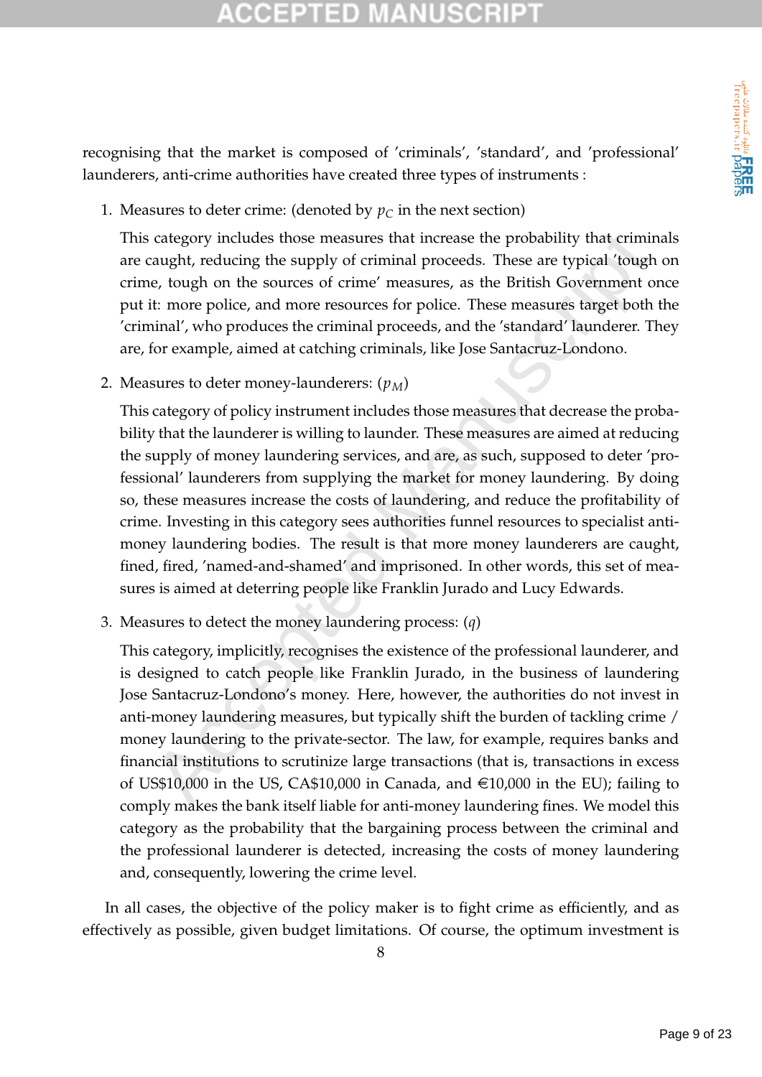recognising that the market is composed of 'criminals', 'standard', and 'professional' launderers, anti-crime authorities have created three types of instruments :

1. Measures to deter crime: (denoted by  $p_C$  in the next section)

This category includes those measures that increase the probability that criminals are caught, reducing the supply of criminal proceeds. These are typical 'tough on crime, tough on the sources of crime' measures, as the British Government once put it: more police, and more resources for police. These measures target both the 'criminal', who produces the criminal proceeds, and the 'standard' launderer. They are, for example, aimed at catching criminals, like Jose Santacruz-Londono.

2. Measures to deter money-launderers: (*pM*)

category includes those measures that increase the probability that criminal proceeds. These are typical tough, the sumption the sources of crime' measures. These measures is the pricial Government of the sources of crime This category of policy instrument includes those measures that decrease the probability that the launderer is willing to launder. These measures are aimed at reducing the supply of money laundering services, and are, as such, supposed to deter 'professional' launderers from supplying the market for money laundering. By doing so, these measures increase the costs of laundering, and reduce the profitability of crime. Investing in this category sees authorities funnel resources to specialist antimoney laundering bodies. The result is that more money launderers are caught, fined, fired, 'named-and-shamed' and imprisoned. In other words, this set of measures is aimed at deterring people like Franklin Jurado and Lucy Edwards.

3. Measures to detect the money laundering process: (*q*)

This category, implicitly, recognises the existence of the professional launderer, and is designed to catch people like Franklin Jurado, in the business of laundering Jose Santacruz-Londono's money. Here, however, the authorities do not invest in anti-money laundering measures, but typically shift the burden of tackling crime / money laundering to the private-sector. The law, for example, requires banks and financial institutions to scrutinize large transactions (that is, transactions in excess of US\$10,000 in the US, CA\$10,000 in Canada, and  $\in$ 10,000 in the EU); failing to comply makes the bank itself liable for anti-money laundering fines. We model this category as the probability that the bargaining process between the criminal and the professional launderer is detected, increasing the costs of money laundering and, consequently, lowering the crime level.

In all cases, the objective of the policy maker is to fight crime as efficiently, and as effectively as possible, given budget limitations. Of course, the optimum investment is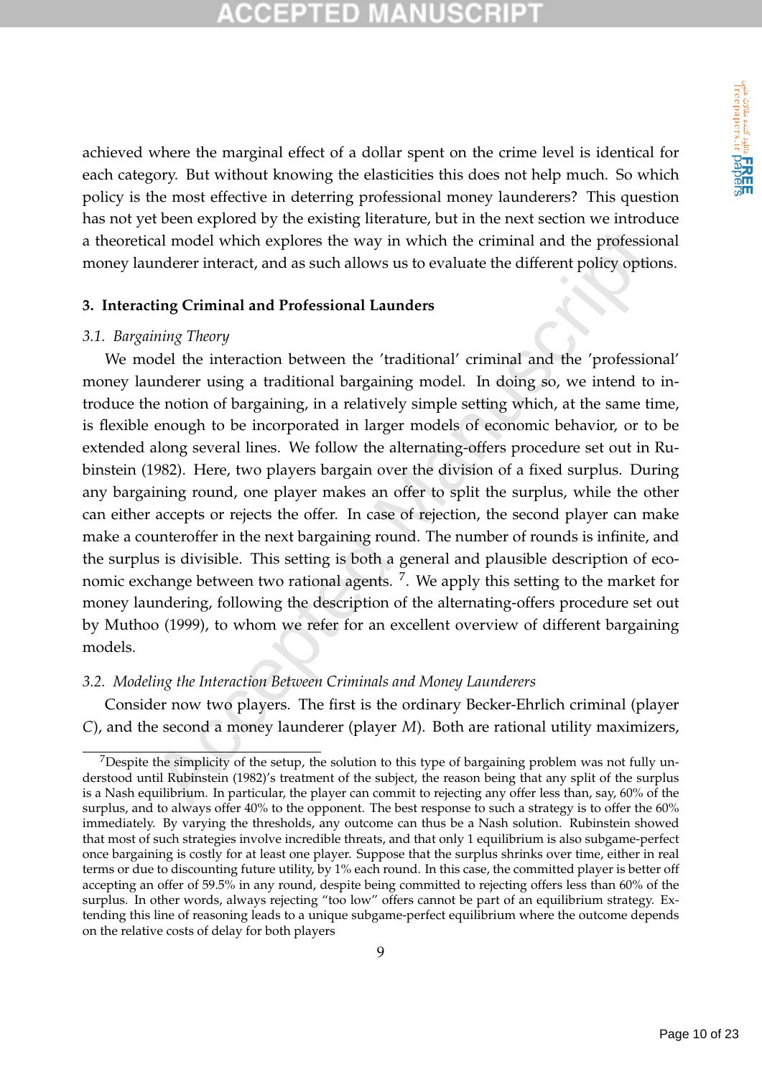achieved where the marginal effect of a dollar spent on the crime level is identical for each category. But without knowing the elasticities this does not help much. So which policy is the most effective in deterring professional money launderers? This question has not yet been explored by the existing literature, but in the next section we introduce a theoretical model which explores the way in which the criminal and the professional money launderer interact, and as such allows us to evaluate the different policy options.

### **3. Interacting Criminal and Professional Launders**

### *3.1. Bargaining Theory*

cal model which explores the way in which the criminal and the profession<br>underer interact, and as such allows us to evaluate the different policy optio<br>ting Criminal and Professional Launders<br>*iming Theory*<br>del the intera We model the interaction between the 'traditional' criminal and the 'professional' money launderer using a traditional bargaining model. In doing so, we intend to introduce the notion of bargaining, in a relatively simple setting which, at the same time, is flexible enough to be incorporated in larger models of economic behavior, or to be extended along several lines. We follow the alternating-offers procedure set out in Rubinstein (1982). Here, two players bargain over the division of a fixed surplus. During any bargaining round, one player makes an offer to split the surplus, while the other can either accepts or rejects the offer. In case of rejection, the second player can make make a counteroffer in the next bargaining round. The number of rounds is infinite, and the surplus is divisible. This setting is both a general and plausible description of economic exchange between two rational agents. <sup>7</sup>. We apply this setting to the market for money laundering, following the description of the alternating-offers procedure set out by Muthoo (1999), to whom we refer for an excellent overview of different bargaining models.

### *3.2. Modeling the Interaction Between Criminals and Money Launderers*

Consider now two players. The first is the ordinary Becker-Ehrlich criminal (player *C*), and the second a money launderer (player *M*). Both are rational utility maximizers,

 $7$ Despite the simplicity of the setup, the solution to this type of bargaining problem was not fully understood until Rubinstein (1982)'s treatment of the subject, the reason being that any split of the surplus is a Nash equilibrium. In particular, the player can commit to rejecting any offer less than, say, 60% of the surplus, and to always offer 40% to the opponent. The best response to such a strategy is to offer the 60% immediately. By varying the thresholds, any outcome can thus be a Nash solution. Rubinstein showed that most of such strategies involve incredible threats, and that only 1 equilibrium is also subgame-perfect once bargaining is costly for at least one player. Suppose that the surplus shrinks over time, either in real terms or due to discounting future utility, by 1% each round. In this case, the committed player is better off accepting an offer of 59.5% in any round, despite being committed to rejecting offers less than 60% of the surplus. In other words, always rejecting "too low" offers cannot be part of an equilibrium strategy. Extending this line of reasoning leads to a unique subgame-perfect equilibrium where the outcome depends on the relative costs of delay for both players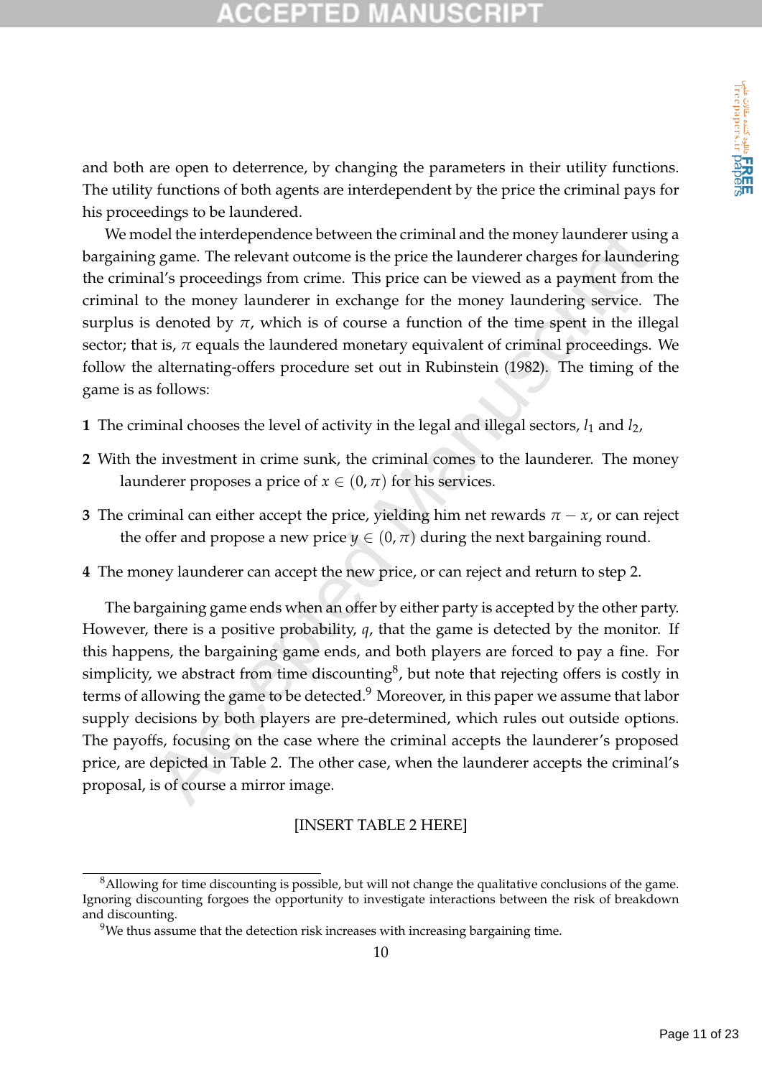# TED

and both are open to deterrence, by changing the parameters in their utility functions. The utility functions of both agents are interdependent by the price the criminal pays for his proceedings to be laundered.

We model the interdependence between the criminal and the money launderer using a bargaining game. The relevant outcome is the price the launderer charges for laundering the criminal's proceedings from crime. This price can be viewed as a payment from the criminal to the money launderer in exchange for the money laundering service. The surplus is denoted by  $\pi$ , which is of course a function of the time spent in the illegal sector; that is,  $\pi$  equals the laundered monetary equivalent of criminal proceedings. We follow the alternating-offers procedure set out in Rubinstein (1982). The timing of the game is as follows:

- **1** The criminal chooses the level of activity in the legal and illegal sectors,  $l_1$  and  $l_2$ ,
- **2** With the investment in crime sunk, the criminal comes to the launderer. The money launderer proposes a price of  $x \in (0, \pi)$  for his services.
- **3** The criminal can either accept the price, yielding him net rewards  $\pi x$ , or can reject the offer and propose a new price  $y \in (0, \pi)$  during the next bargaining round.
- **4** The money launderer can accept the new price, or can reject and return to step 2.

del the interdependence between the criminal and the money launderer using game. The relevant outcome is the price the launderer charges for launder is all all sproceedings from orine. This price can be viewed as a paymen The bargaining game ends when an offer by either party is accepted by the other party. However, there is a positive probability, *q*, that the game is detected by the monitor. If this happens, the bargaining game ends, and both players are forced to pay a fine. For simplicity, we abstract from time discounting<sup>8</sup>, but note that rejecting offers is costly in terms of allowing the game to be detected.<sup>9</sup> Moreover, in this paper we assume that labor supply decisions by both players are pre-determined, which rules out outside options. The payoffs, focusing on the case where the criminal accepts the launderer's proposed price, are depicted in Table 2. The other case, when the launderer accepts the criminal's proposal, is of course a mirror image.

### [INSERT TABLE 2 HERE]

 $8$ Allowing for time discounting is possible, but will not change the qualitative conclusions of the game. Ignoring discounting forgoes the opportunity to investigate interactions between the risk of breakdown and discounting.

<sup>&</sup>lt;sup>9</sup>We thus assume that the detection risk increases with increasing bargaining time.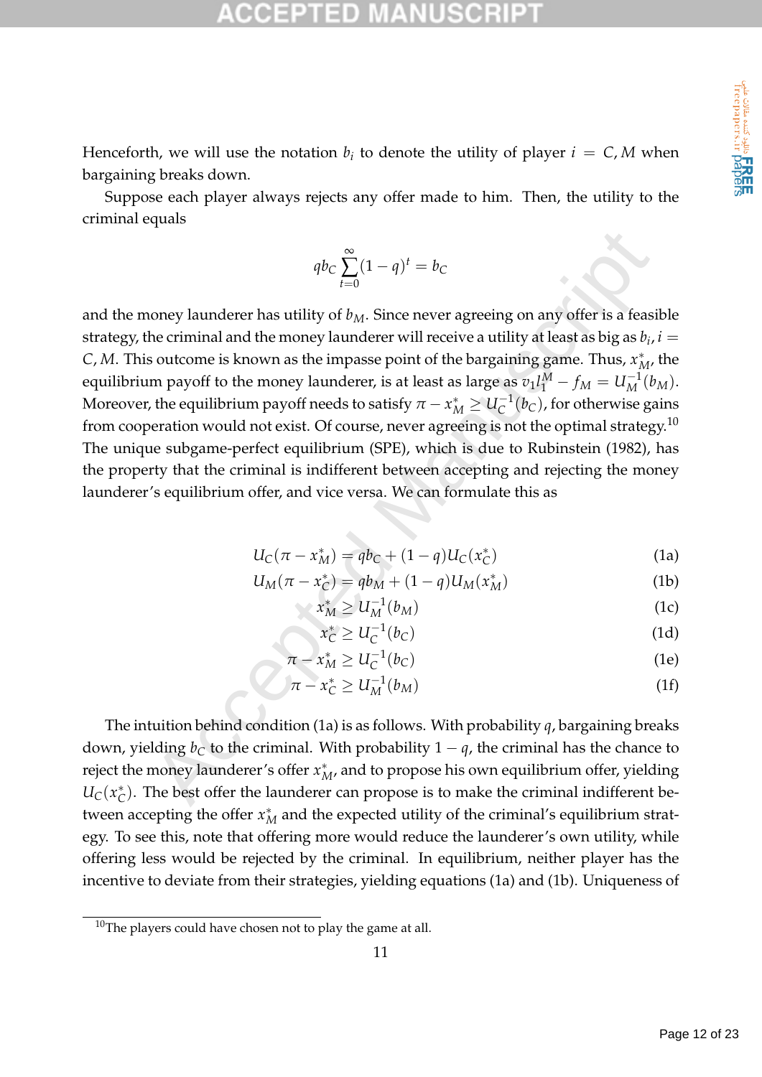Henceforth, we will use the notation  $b_i$  to denote the utility of player  $i = C, M$  when bargaining breaks down.

Suppose each player always rejects any offer made to him. Then, the utility to the criminal equals

$$
qb_C \sum_{t=0}^{\infty} (1 - q)^t = b_C
$$

 $qbc \sum_{i=0}^{\infty} (1-q)^i = b_C$ <br>
oney launderer has utility of  $b_M$ . Since never agreeing on any offer is a feasi<br>
he eriminal and the money launderer will receive a utility at least as big as  $b_i$ ,<br>
soutcome is known as the imp and the money launderer has utility of *bM*. Since never agreeing on any offer is a feasible strategy, the criminal and the money launderer will receive a utility at least as big as  $b_i$ ,  $i =$ *C*, *M*. This outcome is known as the impasse point of the bargaining game. Thus,  $x_M^*$ , the equilibrium payoff to the money launderer, is at least as large as  $v_1 l_1^M - f_M = U_M^{-1}(b_M)$ . Moreover, the equilibrium payoff needs to satisfy  $\pi - x_M^* \geq U_C^{-1}$  $C^{-1}(b_C)$ , for otherwise gains from cooperation would not exist. Of course, never agreeing is not the optimal strategy.<sup>10</sup> The unique subgame-perfect equilibrium (SPE), which is due to Rubinstein (1982), has the property that the criminal is indifferent between accepting and rejecting the money launderer's equilibrium offer, and vice versa. We can formulate this as

$$
U_C(\pi - x_M^*) = qb_C + (1 - q)U_C(x_C^*)
$$
 (1a)

$$
U_M(\pi - x_C^*) = qb_M + (1 - q)U_M(x_M^*)
$$
 (1b)

$$
x_M^* \ge U_M^{-1}(b_M) \tag{1c}
$$

$$
x_C^* \ge U_C^{-1}(b_C) \tag{1d}
$$

$$
\pi - x_M^* \ge U_C^{-1}(b_C) \tag{1e}
$$

$$
\pi - x_{\mathcal{C}}^* \geq U_M^{-1}(b_M) \tag{1f}
$$

The intuition behind condition (1a) is as follows. With probability *q*, bargaining breaks down, yielding  $b<sub>C</sub>$  to the criminal. With probability  $1 - q$ , the criminal has the chance to reject the money launderer's offer  $x_M^*$ , and to propose his own equilibrium offer, yielding  $U_C(x_C^*)$  $C<sub>C</sub>$ ). The best offer the launderer can propose is to make the criminal indifferent between accepting the offer  $x_M^*$  and the expected utility of the criminal's equilibrium strategy. To see this, note that offering more would reduce the launderer's own utility, while offering less would be rejected by the criminal. In equilibrium, neither player has the incentive to deviate from their strategies, yielding equations (1a) and (1b). Uniqueness of

 $10$ The players could have chosen not to play the game at all.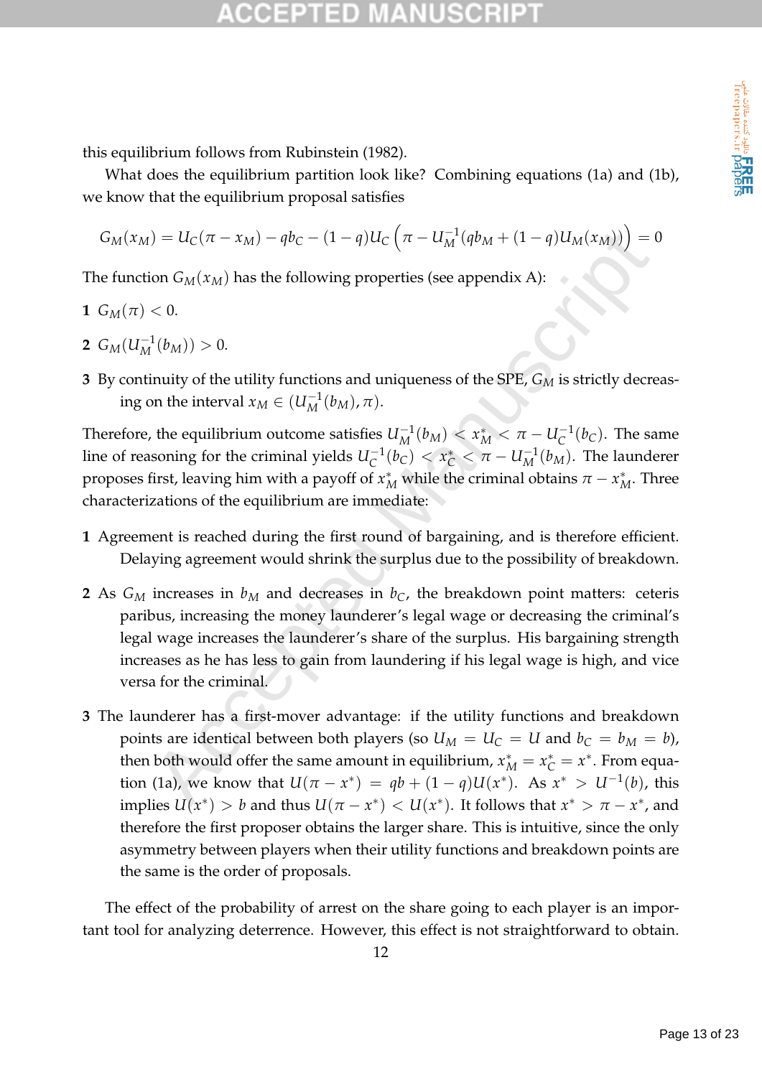this equilibrium follows from Rubinstein (1982).

What does the equilibrium partition look like? Combining equations (1a) and (1b), we know that the equilibrium proposal satisfies

$$
G_M(x_M) = U_C(\pi - x_M) - qb_C - (1 - q)U_C(\pi - U_M^{-1}(qb_M + (1 - q)U_M(x_M))) = 0
$$

The function  $G_M(x_M)$  has the following properties (see appendix A):

- **1**  $G_M(\pi) < 0$ .
- **2**  $G_M(U_M^{-1}(b_M)) > 0.$
- **3** By continuity of the utility functions and uniqueness of the SPE, *G<sup>M</sup>* is strictly decreas- $\text{ing on the interval } x_M \in (U_M^{-1}(b_M), \pi)$ .

Therefore, the equilibrium outcome satisfies  $U_M^{-1}(b_M) < x_M^* < \pi - U_C^{-1}$  $\int_C^{-1}(b_C)$ . The same line of reasoning for the criminal yields  $U_C^{-1}$  $C^{-1}(b_C) < x_C^* < \pi - U_M^{-1}(b_M)$ . The launderer proposes first, leaving him with a payoff of  $x_M^*$  while the criminal obtains  $\pi - x_M^*$ . Three characterizations of the equilibrium are immediate:

- **1** Agreement is reached during the first round of bargaining, and is therefore efficient. Delaying agreement would shrink the surplus due to the possibility of breakdown.
- $\begin{aligned} \mathcal{L} &= U_C(\pi x_M) q b_C (1 q) U_C\left(\pi U_M^{-1}(q b_M + (1 q) U_M(x_M))\right) = 0 \end{aligned} \end{aligned}$ <br>
(ion  $G_M(x_M)$  has the following properties (see appendix A):<br>  $\begin{aligned} \mathcal{L} &= \begin{cases} \n \mathcal{L} &= \begin{cases} \n \mathcal{L} &= \begin{cases} \n \mathcal{L} &= \begin{cases} \n \mathcal{L} &$ **2** As  $G_M$  increases in  $b_M$  and decreases in  $b_C$ , the breakdown point matters: ceteris paribus, increasing the money launderer's legal wage or decreasing the criminal's legal wage increases the launderer's share of the surplus. His bargaining strength increases as he has less to gain from laundering if his legal wage is high, and vice versa for the criminal.
- **3** The launderer has a first-mover advantage: if the utility functions and breakdown points are identical between both players (so  $U_M = U_C = U$  and  $b_C = b_M = b$ ), then both would offer the same amount in equilibrium,  $x_M^* = x_C^* = x^*$ . From equation (1a), we know that  $U(\pi - x^*) = qb + (1 - q)U(x^*)$ . As  $x^* > U^{-1}(b)$ , this implies  $U(x^*) > b$  and thus  $U(\pi - x^*) < U(x^*)$ . It follows that  $x^* > \pi - x^*$ , and therefore the first proposer obtains the larger share. This is intuitive, since the only asymmetry between players when their utility functions and breakdown points are the same is the order of proposals.

The effect of the probability of arrest on the share going to each player is an important tool for analyzing deterrence. However, this effect is not straightforward to obtain.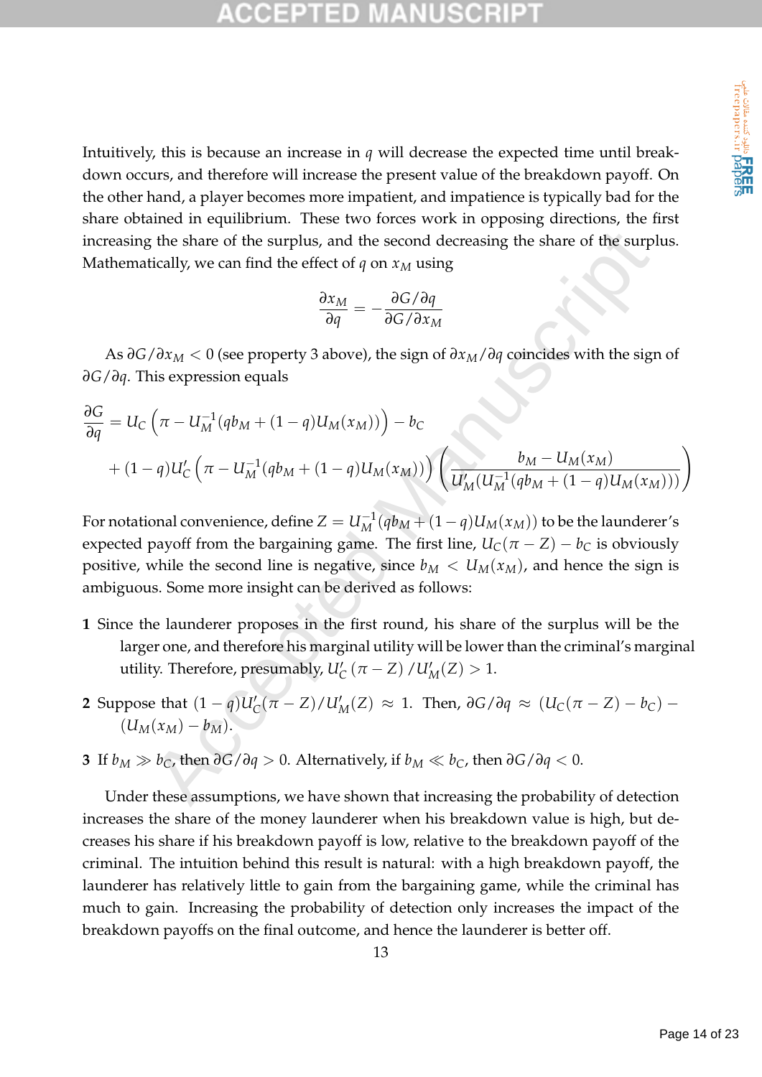Intuitively, this is because an increase in *q* will decrease the expected time until breakdown occurs, and therefore will increase the present value of the breakdown payoff. On the other hand, a player becomes more impatient, and impatience is typically bad for the share obtained in equilibrium. These two forces work in opposing directions, the first increasing the share of the surplus, and the second decreasing the share of the surplus. Mathematically, we can find the effect of  $q$  on  $x_M$  using

$$
\frac{\partial x_M}{\partial q} = -\frac{\partial G/\partial q}{\partial G/\partial x_M}
$$

As *∂G*/*∂x<sup>M</sup>* < 0 (see property 3 above), the sign of *∂xM*/*∂q* coincides with the sign of *∂G*/*∂q*. This expression equals

increasing the share of the surplus, and the second decreasing the share of the surplus.  
\nMathematically, we can find the effect of 
$$
q
$$
 on  $x_M$  using  
\n
$$
\frac{\partial x_M}{\partial q} = -\frac{\partial G/\partial q}{\partial G/\partial x_M}
$$
\nAs  $\partial G/\partial x_M < 0$  (see property 3 above), the sign of  $\partial x_M/\partial q$  coincides with the sign of  
\n $\partial G/\partial q$ . This expression equals  
\n
$$
\frac{\partial G}{\partial q} = U_C \left( \pi - U_M^{-1} (q b_M + (1 - q) U_M(x_M)) \right) - b_C
$$
\n
$$
+ (1 - q) U_C' \left( \pi - U_M^{-1} (q b_M + (1 - q) U_M(x_M)) \right) \left( \frac{b_M - U_M(x_M)}{U_M'(U_M^{-1}(q b_M + (1 - q) U_M(x_M)))} \right)
$$
\nFor notational convenience, define  $Z = U_M^{-1} (q b_M + (1 - q) U_M(x_M))$  to be the launcher's expected payoff from the bargaining game. The first line,  $U_C(\pi - Z) - b_C$  is obviously positive, while the second line is negative, since  $b_M < U_M(x_M)$ , and hence the sign is ambiguous. Some more insight can be derived as follows:  
\n1 Since the launcher proposes in the first round, his share of the surplus will be the larger one, and therefore his marginal utility will be lower than the criminal's marginal utility. Therefore, presumably,  $U_C'(\pi - Z) / U_M'(Z) > 1$ .  
\n2 Suppose that  $(1 - q) U_C'(\pi - Z) / U_M'(Z) \approx 1$ . Then,  $\partial G/\partial q \approx (U_C(\pi - Z) - b_C) - (U_M(x_M) - b_M)$ .  
\n3 If  $b_M \gg b_C$ , then  $\partial G/\partial q > 0$ . Alternatively, if  $b_M \ll b_C$ , then  $\partial G/\partial q < 0$ .  
\nUnder these assumptions, we have shown that increasing the probability of detection

For notational convenience, define  $Z = U_M^{-1}(q b_M + (1-q)U_M(x_M))$  to be the launderer's expected payoff from the bargaining game. The first line,  $U_C(\pi - Z) - b_C$  is obviously positive, while the second line is negative, since  $b_M < U_M(x_M)$ , and hence the sign is ambiguous. Some more insight can be derived as follows:

- **1** Since the launderer proposes in the first round, his share of the surplus will be the larger one, and therefore his marginal utility will be lower than the criminal's marginal utility. Therefore, presumably,  $U'_C(\pi - Z)/U'_M(Z) > 1$ .
- **2** Suppose that  $(1 q)U'_{\mathcal{C}}(\pi Z)/U'_{\mathcal{M}}(Z) \approx 1$ . Then,  $\partial G/\partial q \approx (U_{\mathcal{C}}(\pi Z) b_{\mathcal{C}}) (U_M(x_M) - b_M).$
- **3** If  $b_M \gg b_C$ , then  $\partial G/\partial q > 0$ . Alternatively, if  $b_M \ll b_C$ , then  $\partial G/\partial q < 0$ .

Under these assumptions, we have shown that increasing the probability of detection increases the share of the money launderer when his breakdown value is high, but decreases his share if his breakdown payoff is low, relative to the breakdown payoff of the criminal. The intuition behind this result is natural: with a high breakdown payoff, the launderer has relatively little to gain from the bargaining game, while the criminal has much to gain. Increasing the probability of detection only increases the impact of the breakdown payoffs on the final outcome, and hence the launderer is better off.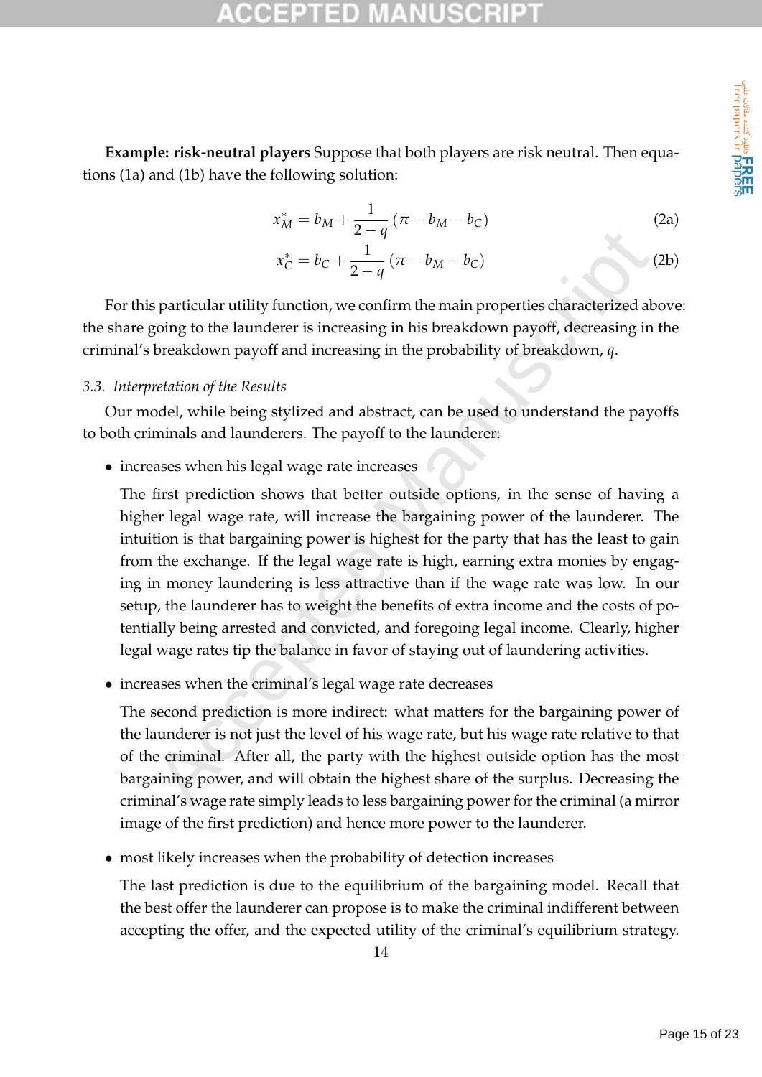**Example: risk-neutral players** Suppose that both players are risk neutral. Then equations (1a) and (1b) have the following solution:

$$
x_M^* = b_M + \frac{1}{2 - q} \left( \pi - b_M - b_C \right)
$$
 (2a)

$$
x_C^* = b_C + \frac{1}{2 - q} (\pi - b_M - b_C)
$$
 (2b)

For this particular utility function, we confirm the main properties characterized above: the share going to the launderer is increasing in his breakdown payoff, decreasing in the criminal's breakdown payoff and increasing in the probability of breakdown, *q*.

## *3.3. Interpretation of the Results*

Our model, while being stylized and abstract, can be used to understand the payoffs to both criminals and launderers. The payoff to the launderer:

• increases when his legal wage rate increases

 $\frac{1}{4}$   $\frac{2}{4}$   $\frac{1}{4}$   $\frac{1}{2}$   $\frac{1}{4}$   $\frac{1}{2}$   $\frac{1}{4}$   $\frac{1}{2}$   $\frac{1}{4}$   $\frac{1}{2}$   $\frac{1}{4}$   $\frac{1}{2}$   $\frac{1}{4}$   $\frac{1}{2}$   $\frac{1}{4}$   $\frac{1}{2}$   $\frac{1}{4}$   $\frac{1}{2}$   $\frac{1}{4}$   $\frac{1}{2}$   $\frac{1}{4}$   $\frac{1}{2}$  The first prediction shows that better outside options, in the sense of having a higher legal wage rate, will increase the bargaining power of the launderer. The intuition is that bargaining power is highest for the party that has the least to gain from the exchange. If the legal wage rate is high, earning extra monies by engaging in money laundering is less attractive than if the wage rate was low. In our setup, the launderer has to weight the benefits of extra income and the costs of potentially being arrested and convicted, and foregoing legal income. Clearly, higher legal wage rates tip the balance in favor of staying out of laundering activities.

• increases when the criminal's legal wage rate decreases

The second prediction is more indirect: what matters for the bargaining power of the launderer is not just the level of his wage rate, but his wage rate relative to that of the criminal. After all, the party with the highest outside option has the most bargaining power, and will obtain the highest share of the surplus. Decreasing the criminal's wage rate simply leads to less bargaining power for the criminal (a mirror image of the first prediction) and hence more power to the launderer.

• most likely increases when the probability of detection increases

The last prediction is due to the equilibrium of the bargaining model. Recall that the best offer the launderer can propose is to make the criminal indifferent between accepting the offer, and the expected utility of the criminal's equilibrium strategy.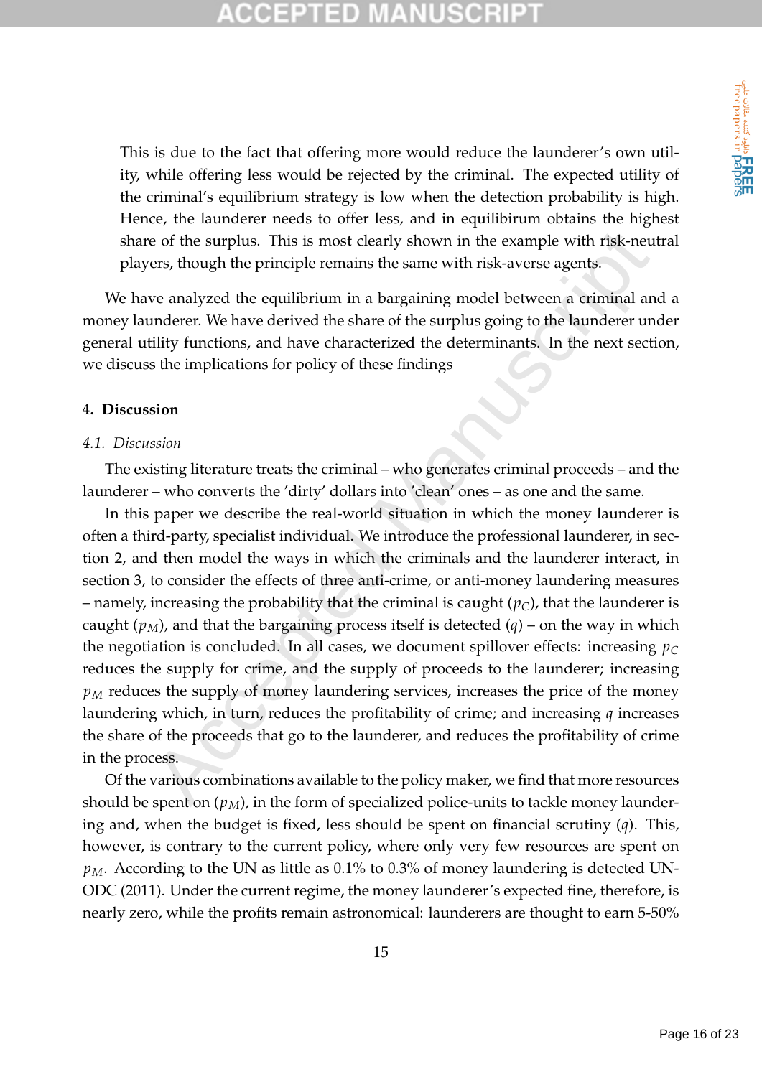This is due to the fact that offering more would reduce the launderer's own utility, while offering less would be rejected by the criminal. The expected utility of the criminal's equilibrium strategy is low when the detection probability is high. Hence, the launderer needs to offer less, and in equilibirum obtains the highest share of the surplus. This is most clearly shown in the example with risk-neutral players, though the principle remains the same with risk-averse agents.

We have analyzed the equilibrium in a bargaining model between a criminal and a money launderer. We have derived the share of the surplus going to the launderer under general utility functions, and have characterized the determinants. In the next section, we discuss the implications for policy of these findings

#### **4. Discussion**

### *4.1. Discussion*

The existing literature treats the criminal – who generates criminal proceeds – and the launderer – who converts the 'dirty' dollars into 'clean' ones – as one and the same.

e of the surplus. This is most clearly shown in the example with risk-neurs, though the principle remains the same with risk-averse agents.<br>
we analyzed the equilibrium in a bargaining model between a criminal an<br>
mderer. In this paper we describe the real-world situation in which the money launderer is often a third-party, specialist individual. We introduce the professional launderer, in section 2, and then model the ways in which the criminals and the launderer interact, in section 3, to consider the effects of three anti-crime, or anti-money laundering measures – namely, increasing the probability that the criminal is caught (*pC*), that the launderer is caught  $(p_M)$ , and that the bargaining process itself is detected  $(q)$  – on the way in which the negotiation is concluded. In all cases, we document spillover effects: increasing *p<sup>C</sup>* reduces the supply for crime, and the supply of proceeds to the launderer; increasing  $p_M$  reduces the supply of money laundering services, increases the price of the money laundering which, in turn, reduces the profitability of crime; and increasing *q* increases the share of the proceeds that go to the launderer, and reduces the profitability of crime in the process.

Of the various combinations available to the policy maker, we find that more resources should be spent on  $(p_M)$ , in the form of specialized police-units to tackle money laundering and, when the budget is fixed, less should be spent on financial scrutiny (*q*). This, however, is contrary to the current policy, where only very few resources are spent on *pM*. According to the UN as little as 0.1% to 0.3% of money laundering is detected UN-ODC (2011). Under the current regime, the money launderer's expected fine, therefore, is nearly zero, while the profits remain astronomical: launderers are thought to earn 5-50%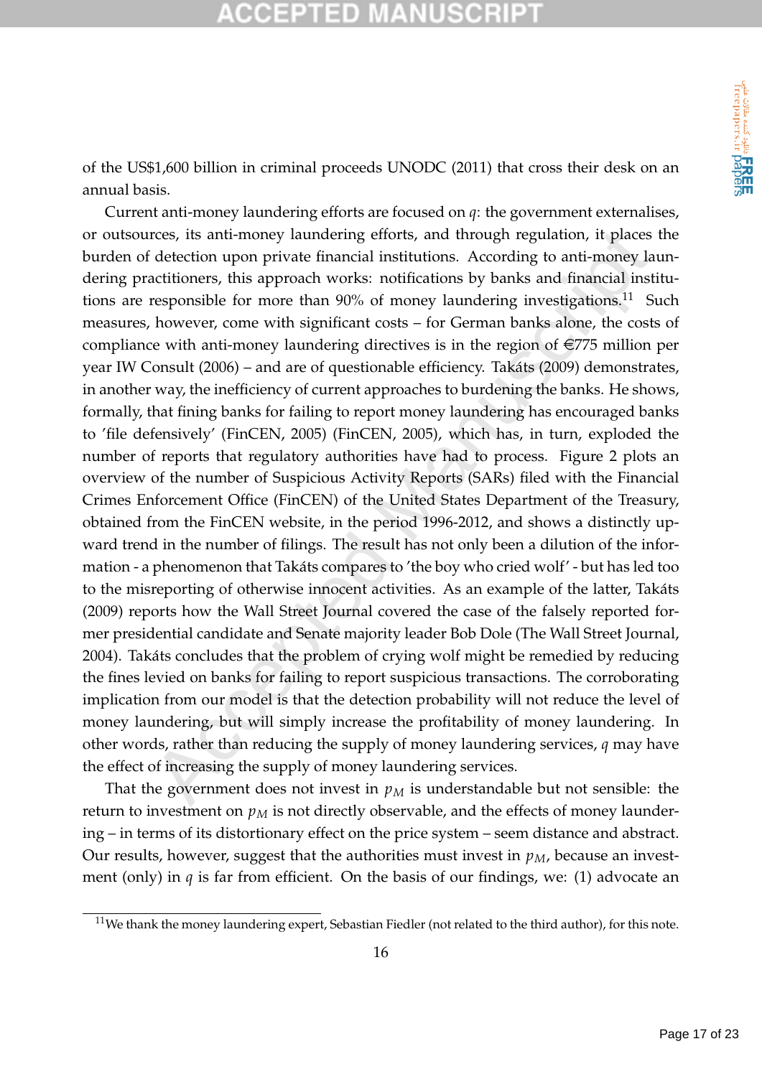# TED

of the US\$1,600 billion in criminal proceeds UNODC (2011) that cross their desk on an annual basis.

rces, its anti-money laundering efforts, and through regulation, it places<br>detection upon private financial institutions. According to anti-money lat<br>detection upon private financial institutions. According to anti-money Current anti-money laundering efforts are focused on *q*: the government externalises, or outsources, its anti-money laundering efforts, and through regulation, it places the burden of detection upon private financial institutions. According to anti-money laundering practitioners, this approach works: notifications by banks and financial institutions are responsible for more than  $90\%$  of money laundering investigations.<sup>11</sup> Such measures, however, come with significant costs – for German banks alone, the costs of compliance with anti-money laundering directives is in the region of  $\epsilon$ 775 million per year IW Consult (2006) – and are of questionable efficiency. Takáts (2009) demonstrates, in another way, the inefficiency of current approaches to burdening the banks. He shows, formally, that fining banks for failing to report money laundering has encouraged banks to 'file defensively' (FinCEN, 2005) (FinCEN, 2005), which has, in turn, exploded the number of reports that regulatory authorities have had to process. Figure 2 plots an overview of the number of Suspicious Activity Reports (SARs) filed with the Financial Crimes Enforcement Office (FinCEN) of the United States Department of the Treasury, obtained from the FinCEN website, in the period 1996-2012, and shows a distinctly upward trend in the number of filings. The result has not only been a dilution of the information - a phenomenon that Takáts compares to 'the boy who cried wolf' - but has led too to the misreporting of otherwise innocent activities. As an example of the latter, Takáts (2009) reports how the Wall Street Journal covered the case of the falsely reported former presidential candidate and Senate majority leader Bob Dole (The Wall Street Journal, 2004). Takáts concludes that the problem of crying wolf might be remedied by reducing the fines levied on banks for failing to report suspicious transactions. The corroborating implication from our model is that the detection probability will not reduce the level of money laundering, but will simply increase the profitability of money laundering. In other words, rather than reducing the supply of money laundering services, *q* may have the effect of increasing the supply of money laundering services.

That the government does not invest in  $p_M$  is understandable but not sensible: the return to investment on  $p_M$  is not directly observable, and the effects of money laundering – in terms of its distortionary effect on the price system – seem distance and abstract. Our results, however, suggest that the authorities must invest in *pM*, because an investment (only) in *q* is far from efficient. On the basis of our findings, we: (1) advocate an

 $11$ We thank the money laundering expert, Sebastian Fiedler (not related to the third author), for this note.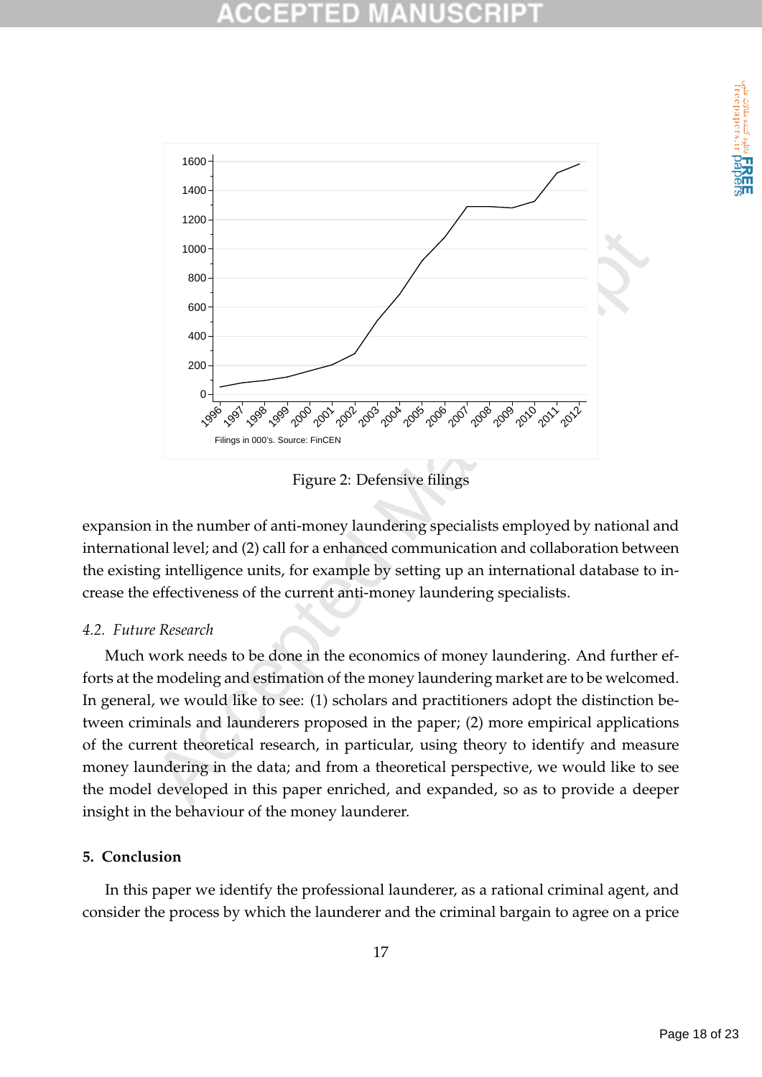

Figure 2: Defensive filings

expansion in the number of anti-money laundering specialists employed by national and international level; and (2) call for a enhanced communication and collaboration between the existing intelligence units, for example by setting up an international database to increase the effectiveness of the current anti-money laundering specialists.

# *4.2. Future Research*

Much work needs to be done in the economics of money laundering. And further efforts at the modeling and estimation of the money laundering market are to be welcomed. In general, we would like to see: (1) scholars and practitioners adopt the distinction between criminals and launderers proposed in the paper; (2) more empirical applications of the current theoretical research, in particular, using theory to identify and measure money laundering in the data; and from a theoretical perspective, we would like to see the model developed in this paper enriched, and expanded, so as to provide a deeper insight in the behaviour of the money launderer.

## **5. Conclusion**

In this paper we identify the professional launderer, as a rational criminal agent, and consider the process by which the launderer and the criminal bargain to agree on a price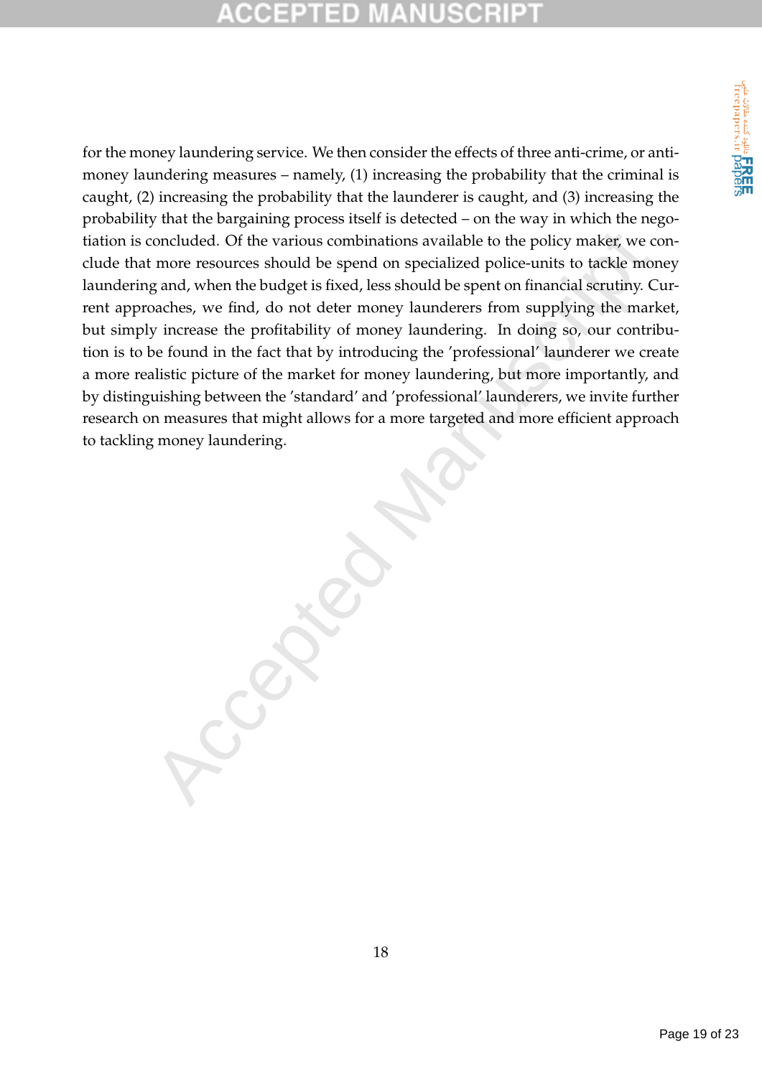for the money laundering service. We then consider the effects of three anti-crime, or antimoney laundering measures – namely, (1) increasing the probability that the criminal is caught, (2) increasing the probability that the launderer is caught, and (3) increasing the probability that the bargaining process itself is detected – on the way in which the negotiation is concluded. Of the various combinations available to the policy maker, we conclude that more resources should be spend on specialized police-units to tackle money laundering and, when the budget is fixed, less should be spent on financial scrutiny. Current approaches, we find, do not deter money launderers from supplying the market, but simply increase the profitability of money laundering. In doing so, our contribution is to be found in the fact that by introducing the 'professional' launderer we create a more realistic picture of the market for money laundering, but more importantly, and by distinguishing between the 'standard' and 'professional' launderers, we invite further research on measures that might allows for a more targeted and more efficient approach to tackling money laundering.

**Cccepted**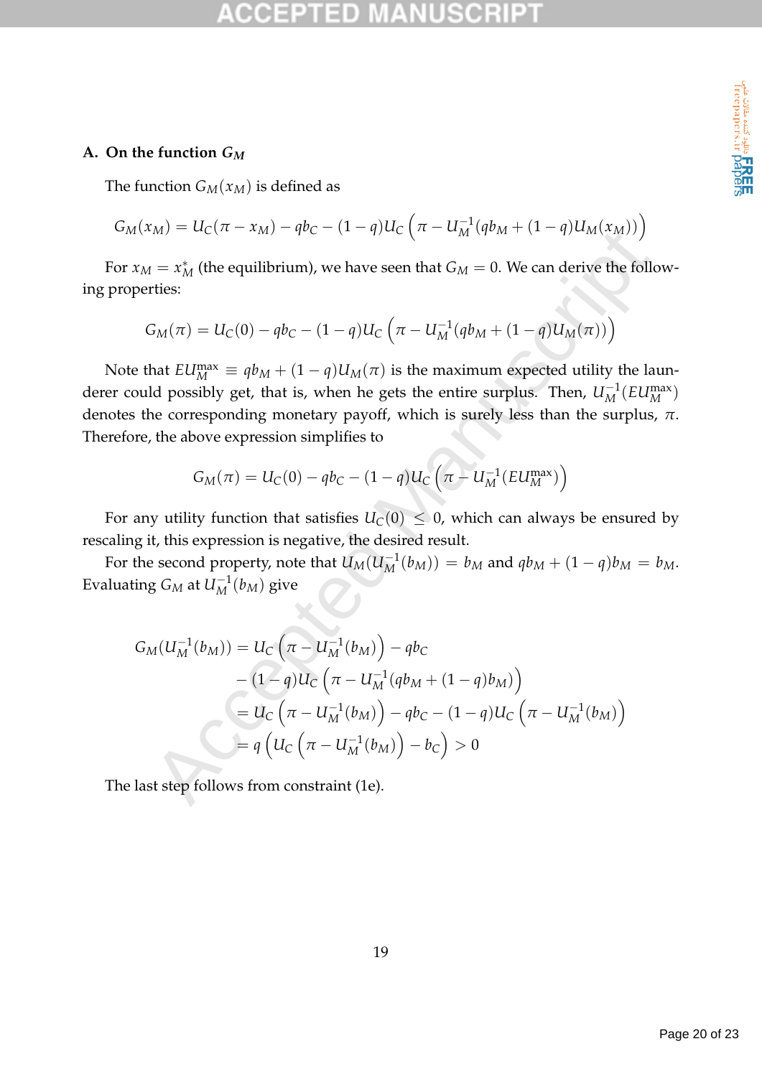### **A. On the function** *G<sup>M</sup>*

The function  $G_M(x_M)$  is defined as

$$
G_M(x_M) = U_C(\pi - x_M) - qb_C - (1 - q)U_C(\pi - U_M^{-1}(qb_M + (1 - q)U_M(x_M)))
$$

For  $x_M = x_M^*$  (the equilibrium), we have seen that  $G_M = 0$ . We can derive the following properties:

$$
G_M(\pi) = U_C(0) - qb_C - (1 - q)U_C \left(\pi - U_M^{-1}(qb_M + (1 - q)U_M(\pi))\right)
$$

Note that  $EU_M^{\max} \equiv qb_M + (1-q)U_M(\pi)$  is the maximum expected utility the launderer could possibly get, that is, when he gets the entire surplus. Then,  $U_M^{-1}(EU_M^{\max})$ denotes the corresponding monetary payoff, which is surely less than the surplus, *π*. Therefore, the above expression simplifies to

$$
G_M(\pi) = U_C(0) - qb_C - (1 - q)U_C \left(\pi - U_M^{-1}(EU_M^{\max})\right)
$$

For any utility function that satisfies  $U_C(0) \leq 0$ , which can always be ensured by rescaling it, this expression is negative, the desired result.

For the second property, note that  $U_M(U_M^{-1}(b_M)) = b_M$  and  $q b_M + (1 - q) b_M = b_M$ . Evaluating  $G_M$  at  $U_M^{-1}(b_M)$  give

$$
I(M) = U_{\rm C}(I - A_{\rm M}) - q_0 C - (1 - q_0) C (I - A_{\rm M}) (q_0 M + (1 - q_0) A_{\rm M})
$$
\n
$$
x_M = x_M^*
$$
\n(the equilibrium), we have seen that  $G_M = 0$ . We can derive the follow  
perties:

\n
$$
G_M(\pi) = U_C(0) - q_0 C - (1 - q_0) U_C \left( \pi - U_M^{-1} (q_0 M + (1 - q_0) U_M(\pi)) \right)
$$
\ne that  $EU_M^{\max} \equiv q_0 M + (1 - q_0) U_M(\pi)$  is the maximum expected utility the law  
and possibly get, that is, when he gets the entire surplus. Then,  $U_M^{-1} (EU_M^{\max})$  the corresponding monetary payoff, which is surely less than the surplus,  
are, the above expression simplifies to

\n
$$
G_M(\pi) = U_C(0) - q_0 C - (1 - q_0) U_C \left( \pi - U_M^{-1} (EU_M^{\max}) \right)
$$
\nany utility function that satisfies  $U_C(0) \leq 0$ , which can always be ensured  
g it, this expression is negative, the desired result.

\nthe second property, note that  $U_M(U_M^{-1}(b_M)) = b_M$  and  $q_0 M + (1 - q_0) b_M = i$   

$$
G_M(U_M^{-1}(b_M)) = U_C \left( \pi - U_M^{-1}(b_M) \right) - q_0 C
$$
\n
$$
- (1 - q_0) U_C \left( \pi - U_M^{-1}(q_0 M) + (1 - q_0) U_C \left( \pi - U_M^{-1}(b_M) \right) \right)
$$
\n
$$
= q_C \left( \pi - U_M^{-1}(b_M) \right) - q_0 C - (1 - q_0) U_C \left( \pi - U_M^{-1}(b_M) \right)
$$
\n
$$
= q \left( U_C \left( \pi - U_M^{-1}(b_M) \right) - b_C \right) > 0
$$
\nlast step follows from constraint (1e).

The last step follows from constraint (1e).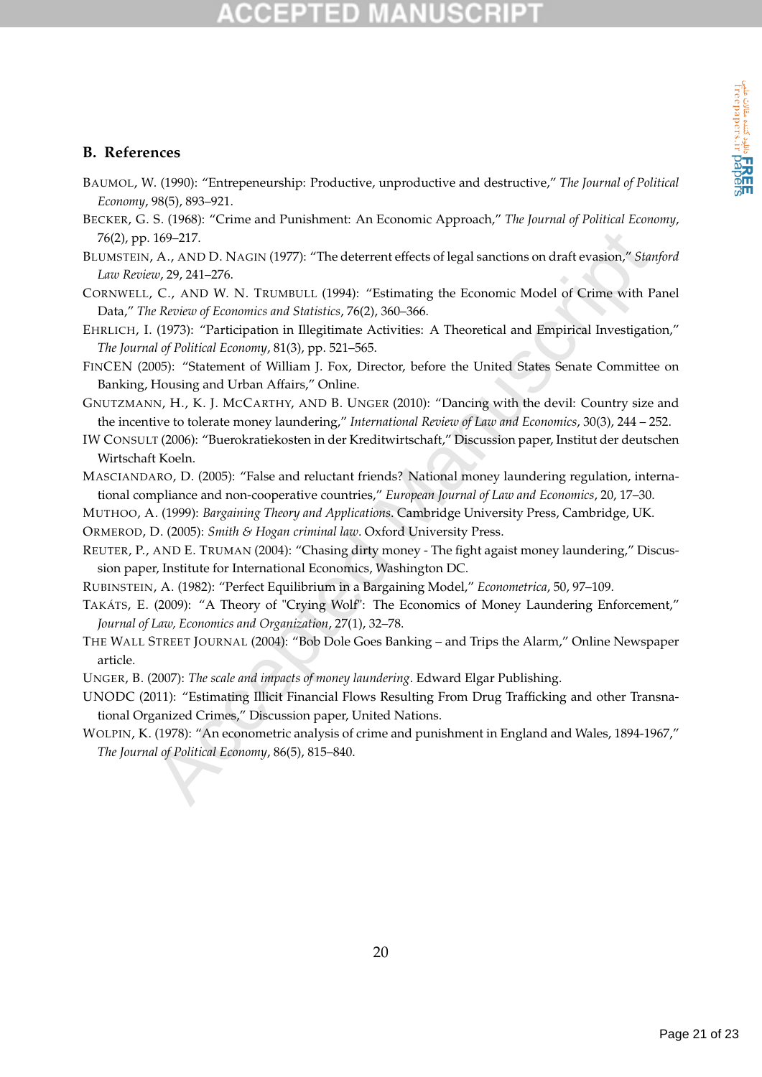### **B. References**

- BAUMOL, W. (1990): "Entrepeneurship: Productive, unproductive and destructive," *The Journal of Political Economy*, 98(5), 893–921.
- BECKER, G. S. (1968): "Crime and Punishment: An Economic Approach," *The Journal of Political Economy*, 76(2), pp. 169–217.
- BLUMSTEIN, A., AND D. NAGIN (1977): "The deterrent effects of legal sanctions on draft evasion," *Stanford Law Review*, 29, 241–276.
- CORNWELL, C., AND W. N. TRUMBULL (1994): "Estimating the Economic Model of Crime with Panel Data," *The Review of Economics and Statistics*, 76(2), 360–366.
- EHRLICH, I. (1973): "Participation in Illegitimate Activities: A Theoretical and Empirical Investigation," *The Journal of Political Economy*, 81(3), pp. 521–565.
- FINCEN (2005): "Statement of William J. Fox, Director, before the United States Senate Committee on Banking, Housing and Urban Affairs," Online.
- GNUTZMANN, H., K. J. MCCARTHY, AND B. UNGER (2010): "Dancing with the devil: Country size and the incentive to tolerate money laundering," *International Review of Law and Economics*, 30(3), 244 – 252.
- 169–217.<br>  $\mu$ , AND D. NAGIN (1977): "The deterrent effects of legal sanctions on draft evasion," Stan,  $\mu$ , AND W. N. TRUMBULL (1994): "Estimating the Economic Model of Crime with Panuscription in Register of Economic S IW CONSULT (2006): "Buerokratiekosten in der Kreditwirtschaft," Discussion paper, Institut der deutschen Wirtschaft Koeln.
- MASCIANDARO, D. (2005): "False and reluctant friends? National money laundering regulation, international compliance and non-cooperative countries," *European Journal of Law and Economics*, 20, 17–30.
- MUTHOO, A. (1999): *Bargaining Theory and Applications*. Cambridge University Press, Cambridge, UK.
- ORMEROD, D. (2005): *Smith & Hogan criminal law*. Oxford University Press.
- REUTER, P., AND E. TRUMAN (2004): "Chasing dirty money The fight agaist money laundering," Discussion paper, Institute for International Economics, Washington DC.
- RUBINSTEIN, A. (1982): "Perfect Equilibrium in a Bargaining Model," *Econometrica*, 50, 97–109.
- TAKÁTS, E. (2009): "A Theory of "Crying Wolf": The Economics of Money Laundering Enforcement," *Journal of Law, Economics and Organization*, 27(1), 32–78.
- THE WALL STREET JOURNAL (2004): "Bob Dole Goes Banking and Trips the Alarm," Online Newspaper article.
- UNGER, B. (2007): *The scale and impacts of money laundering*. Edward Elgar Publishing.
- UNODC (2011): "Estimating Illicit Financial Flows Resulting From Drug Trafficking and other Transnational Organized Crimes," Discussion paper, United Nations.
- WOLPIN, K. (1978): "An econometric analysis of crime and punishment in England and Wales, 1894-1967," *The Journal of Political Economy*, 86(5), 815–840.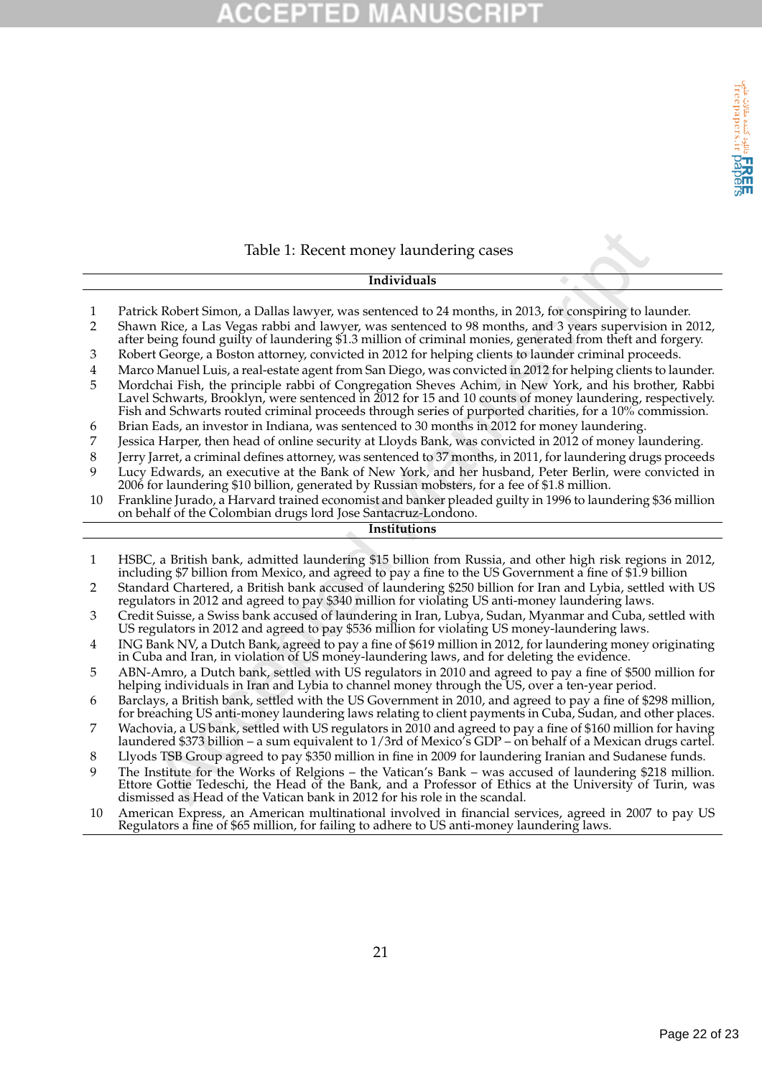Table 1: Recent money laundering cases

#### **Individuals**

- 1 Patrick Robert Simon, a Dallas lawyer, was sentenced to 24 months, in 2013, for conspiring to launder.
- 2 Shawn Rice, a Las Vegas rabbi and lawyer, was sentenced to 98 months, and 3 years supervision in 2012, after being found guilty of laundering \$1.3 million of criminal monies, generated from theft and forgery.
- 3 Robert George, a Boston attorney, convicted in 2012 for helping clients to launder criminal proceeds.
- 4 Marco Manuel Luis, a real-estate agent from San Diego, was convicted in 2012 for helping clients to launder.<br>5 Mordchai Fish, the principle rabbi of Congregation Sheves Achim, in New York, and his brother, Rabbi

5 Mordchai Fish, the principle rabbi of Congregation Sheves Achim, in New York, and his brother, Rabbi Lavel Schwarts, Brooklyn, were sentenced in 2012 for 15 and 10 counts of money laundering, respectively. Fish and Schwarts routed criminal proceeds through series of purported charities, for a 10% commission.

- 6 Brian Eads, an investor in Indiana, was sentenced to 30 months in 2012 for money laundering.
- 7 Jessica Harper, then head of online security at Lloyds Bank, was convicted in 2012 of money laundering.
- 8 Jerry Jarret, a criminal defines attorney, was sentenced to 37 months, in 2011, for laundering drugs proceeds

9 Lucy Edwards, an executive at the Bank of New York, and her husband, Peter Berlin, were convicted in 2006 for laundering \$10 billion, generated by Russian mobsters, for a fee of \$1.8 million.

10 Frankline Jurado, a Harvard trained economist and banker pleaded guilty in 1996 to laundering \$36 million on behalf of the Colombian drugs lord Jose Santacruz-Londono.

#### **Institutions**

- 1 HSBC, a British bank, admitted laundering \$15 billion from Russia, and other high risk regions in 2012, including \$7 billion from Mexico, and agreed to pay a fine to the US Government a fine of \$1.9 billion
- 2 Standard Chartered, a British bank accused of laundering \$250 billion for Iran and Lybia, settled with US regulators in 2012 and agreed to pay \$340 million for violating US anti-money laundering laws.
- 3 Credit Suisse, a Swiss bank accused of laundering in Iran, Lubya, Sudan, Myanmar and Cuba, settled with US regulators in 2012 and agreed to pay \$536 million for violating US money-laundering laws.
- 4 ING Bank NV, a Dutch Bank, agreed to pay a fine of \$619 million in 2012, for laundering money originating in Cuba and Iran, in violation of US money-laundering laws, and for deleting the evidence.
- 5 ABN-Amro, a Dutch bank, settled with US regulators in 2010 and agreed to pay a fine of \$500 million for helping individuals in Iran and Lybia to channel money through the US, over a ten-year period.
- 6 Barclays, a British bank, settled with the US Government in 2010, and agreed to pay a fine of \$298 million, for breaching US anti-money laundering laws relating to client payments in Cuba, Sudan, and other places.
- 7 Wachovia, a US bank, settled with US regulators in 2010 and agreed to pay a fine of \$160 million for having laundered \$373 billion – a sum equivalent to 1/3rd of Mexico's GDP – on behalf of a Mexican drugs cartel.
- 8 Llyods TSB Group agreed to pay \$350 million in fine in 2009 for laundering Iranian and Sudanese funds.
- Table 1: Recent money Jaundering cases<br>
Individuals <br>
In Ricc, a Lack Wesse rabies and the man and law to the same sentenced to 24 months, in 2013, for conspiring to lan Nicc, a Lack Wesse rabies and hand law ore was sent 9 The Institute for the Works of Relgions – the Vatican's Bank – was accused of laundering \$218 million. Ettore Gottie Tedeschi, the Head of the Bank, and a Professor of Ethics at the University of Turin, was dismissed as Head of the Vatican bank in 2012 for his role in the scandal.
- 10 American Express, an American multinational involved in financial services, agreed in 2007 to pay US Regulators a fine of \$65 million, for failing to adhere to US anti-money laundering laws.